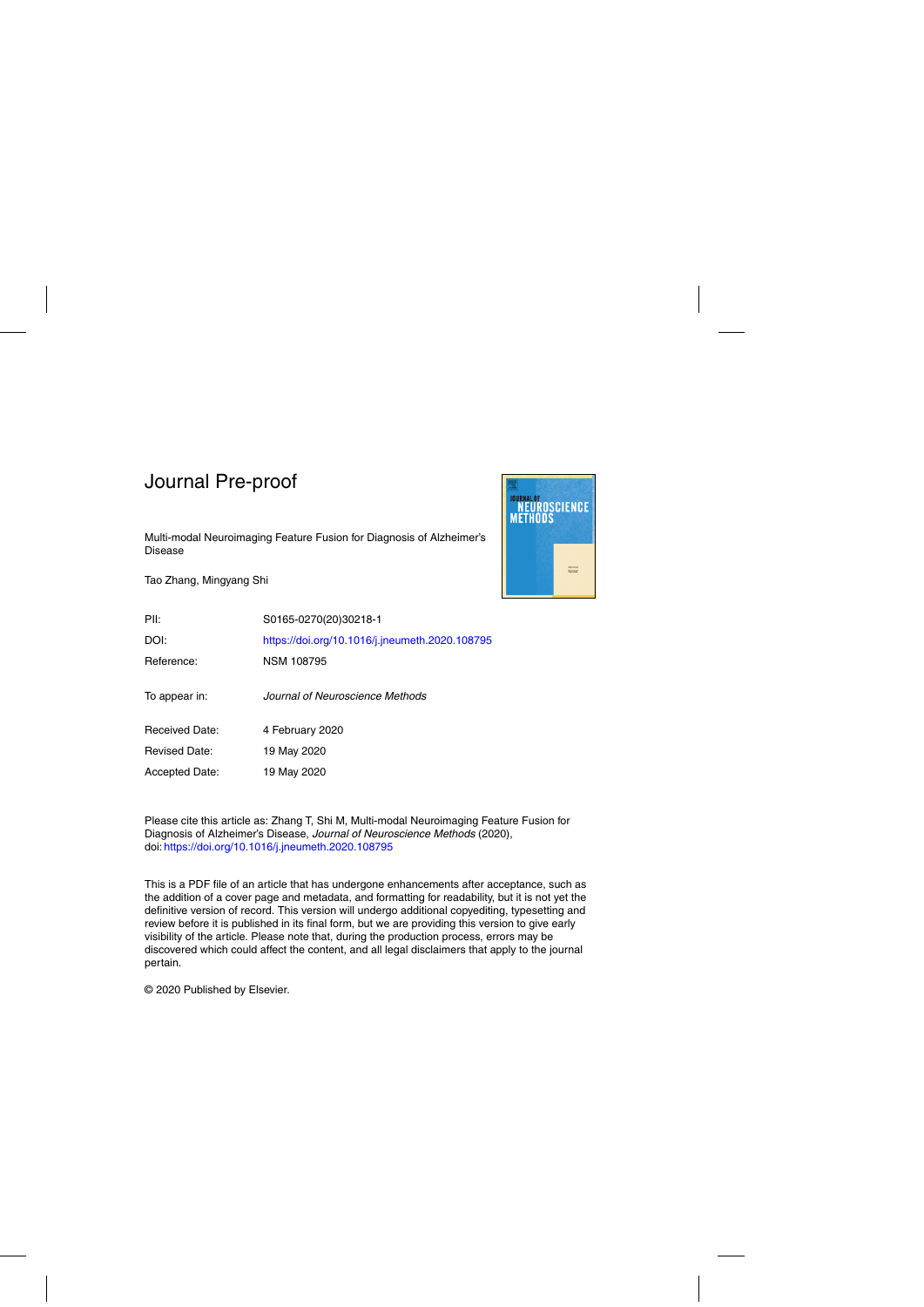Multi-modal Neuroimaging Feature Fusion for Diagnosis of Alzheimer's Disease

Tao Zhang, Mingyang Shi



| PII:                  | S0165-0270(20)30218-1                          |
|-----------------------|------------------------------------------------|
| DOI:                  | https://doi.org/10.1016/j.jneumeth.2020.108795 |
| Reference:            | <b>NSM 108795</b>                              |
| To appear in:         | Journal of Neuroscience Methods                |
| <b>Received Date:</b> | 4 February 2020                                |
| <b>Revised Date:</b>  | 19 May 2020                                    |
| <b>Accepted Date:</b> | 19 May 2020                                    |

Please cite this article as: Zhang T, Shi M, Multi-modal Neuroimaging Feature Fusion for Diagnosis of Alzheimer's Disease, Journal of Neuroscience Methods (2020), doi: <https://doi.org/10.1016/j.jneumeth.2020.108795>

This is a PDF file of an article that has undergone enhancements after acceptance, such as the addition of a cover page and metadata, and formatting for readability, but it is not yet the definitive version of record. This version will undergo additional copyediting, typesetting and review before it is published in its final form, but we are providing this version to give early visibility of the article. Please note that, during the production process, errors may be discovered which could affect the content, and all legal disclaimers that apply to the journal pertain.

© 2020 Published by Elsevier.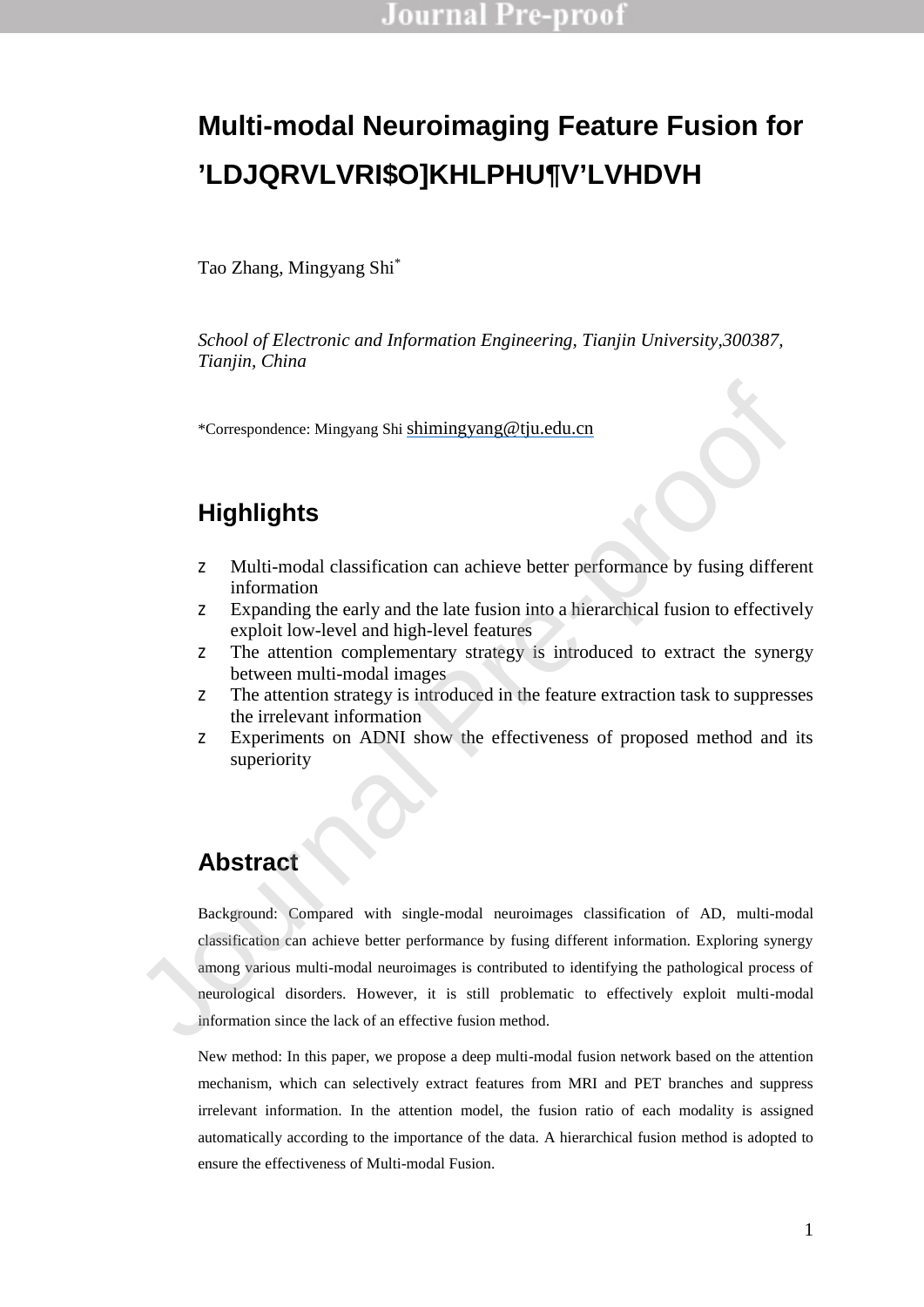# **Multi-modal Neuroimaging Feature Fusion for**  D**&VVRI@PHWVHDVH**

Tao Zhang, Mingyang Shi\*

*School of Electronic and Information Engineering, Tianjin University,300387, Tianjin, China*

\*Correspondence: Mingyang Shi shimingyang@tju.edu.cn

### **Highlights**

- **z** Multi-modal classification can achieve better performance by fusing different information
- z Expanding the early and the late fusion into a hierarchical fusion to effectively exploit low-level and high-level features
- z The attention complementary strategy is introduced to extract the synergy between multi-modal images
- z The attention strategy is introduced in the feature extraction task to suppresses the irrelevant information
- z Experiments on ADNI show the effectiveness of proposed method and its superiority

### **Abstract**

Background: Compared with single-modal neuroimages classification of AD, multi-modal classification can achieve better performance by fusing different information. Exploring synergy among various multi-modal neuroimages is contributed to identifying the pathological process of neurological disorders. However, it is still problematic to effectively exploit multi-modal information since the lack of an effective fusion method. Correspondence: Mingyang Shi <u>shimingyang@tju.edu.cn</u><br> **Highlights**<br> **Z** Multi-modal classification can achieve better performance by fusing differential<br>
information in a finite-proof and the late fusion into a hierarchi

New method: In this paper, we propose a deep multi-modal fusion network based on the attention mechanism, which can selectively extract features from MRI and PET branches and suppress irrelevant information. In the attention model, the fusion ratio of each modality is assigned automatically according to the importance of the data. A hierarchical fusion method is adopted to ensure the effectiveness of Multi-modal Fusion.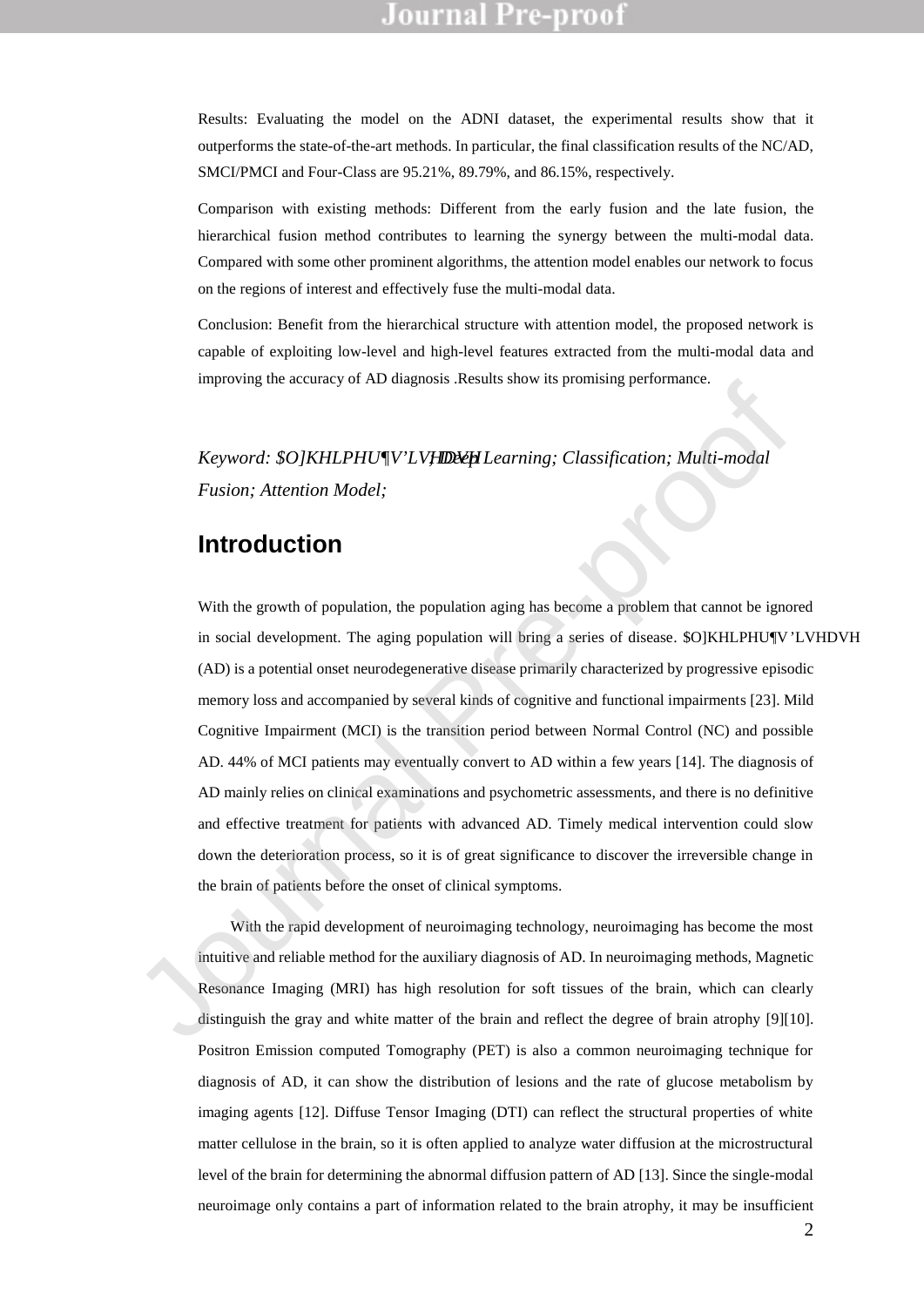Results: Evaluating the model on the ADNI dataset, the experimental results show that it outperforms the state-of-the-art methods. In particular, the final classification results of the NC/AD, SMCI/PMCI and Four-Class are 95.21%, 89.79%, and 86.15%, respectively.

Comparison with existing methods: Different from the early fusion and the late fusion, the hierarchical fusion method contributes to learning the synergy between the multi-modal data. Compared with some other prominent algorithms, the attention model enables our network to focus on the regions of interest and effectively fuse the multi-modal data.

Conclusion: Benefit from the hierarchical structure with attention model, the proposed network is capable of exploiting low-level and high-level features extracted from the multi-modal data and improving the accuracy of AD diagnosis .Results show its promising performance.

*Keyword: \$O]KHLPHU¶V'LVHDVH ; Deep Learning; Classification; Multi-modal Fusion; Attention Model;*

### **Introduction**

With the growth of population, the population aging has become a problem that cannot be ignored in social development. The aging population will bring a series of disease.  $\circ$  KHLPHUW'LVHDVH (AD) is a potential onset neurodegenerative disease primarily characterized by progressive episodic memory loss and accompanied by several kinds of cognitive and functional impairments [23]. Mild Cognitive Impairment (MCI) is the transition period between Normal Control (NC) and possible AD. 44% of MCI patients may eventually convert to AD within a few years [14]. The diagnosis of AD mainly relies on clinical examinations and psychometric assessments, and there is no definitive and effective treatment for patients with advanced AD. Timely medical intervention could slow down the deterioration process, so it is of great significance to discover the irreversible change in the brain of patients before the onset of clinical symptoms. Meyword: **Containery of Art supposes** Accentis show no promising performance.<br> *Keyword:* **CHLPHUTMDM** : *Peep Learning: Classification: Multi-modal*<br> *Fusion: Attention Model;*<br> **Infroduction**<br>
With the growth of populat

With the rapid development of neuroimaging technology, neuroimaging has become the most intuitive and reliable method for the auxiliary diagnosis of AD. In neuroimaging methods, Magnetic Resonance Imaging (MRI) has high resolution for soft tissues of the brain, which can clearly distinguish the gray and white matter of the brain and reflect the degree of brain atrophy [9[\]\[10\].](#page-17-1) Positron Emission computed Tomography (PET) is also a common neuroimaging technique for diagnosis of AD, it can show the distribution of lesions and the rate of glucose metabolism by imaging agents [\[12\].](#page-17-2) Diffuse Tensor Imaging (DTI) can reflect the structural properties of white matter cellulose in the brain, so it is often applied to analyze water diffusion at the microstructural level of the brain for determining the abnormal diffusion pattern of AD [\[13\].](#page-17-3) Since the single-modal neuroimage only contains a part of information related to the brain atrophy, it may be insufficient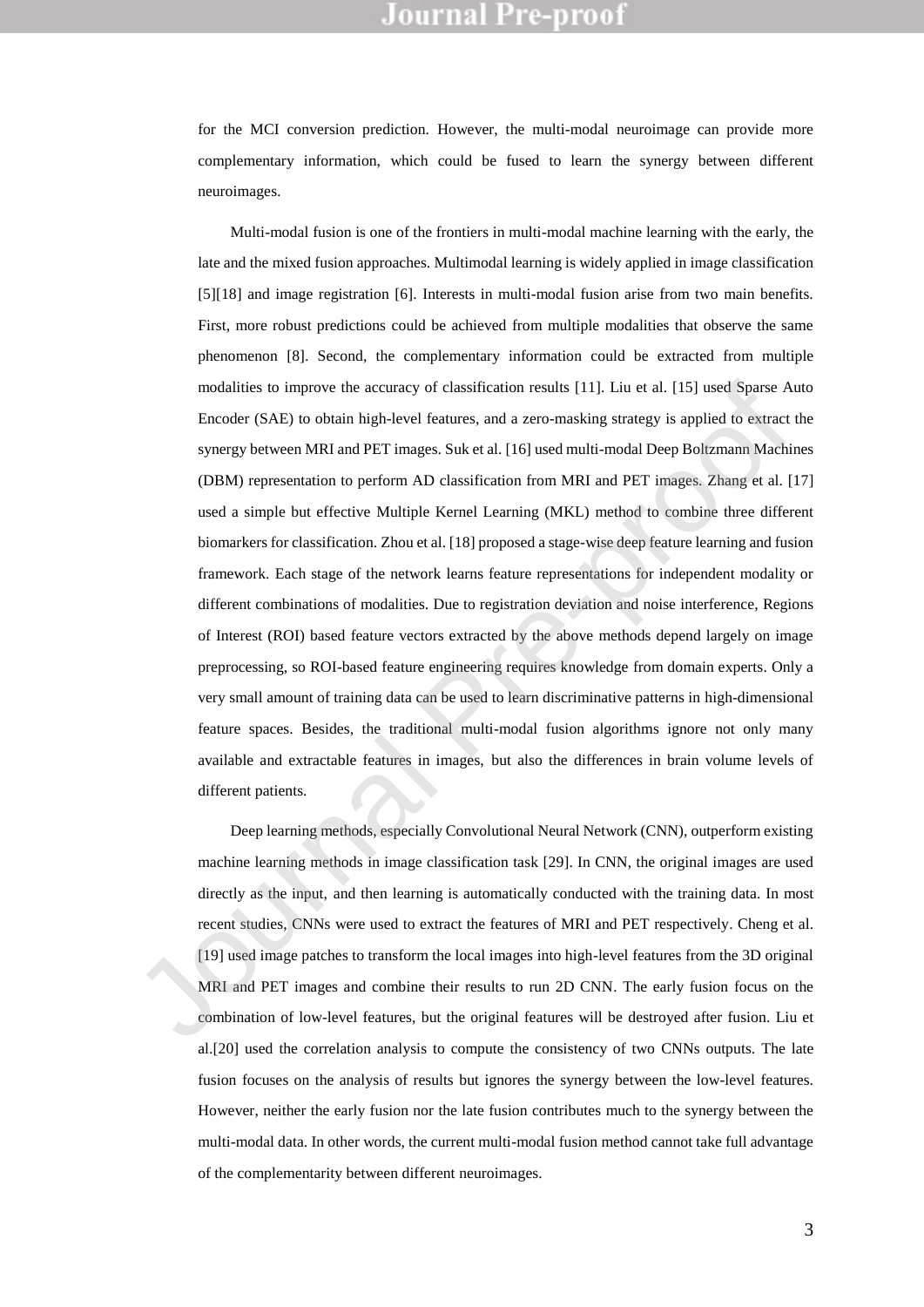for the MCI conversion prediction. However, the multi-modal neuroimage can provide more complementary information, which could be fused to learn the synergy between different neuroimages.

Multi-modal fusion is one of the frontiers in multi-modal machine learning with the early, the late and the mixed fusion approaches. Multimodal learning is widely applied in image classification [\[5\]\[18\]](#page-16-0) and image registration [\[6\].](#page-16-1) Interests in multi-modal fusion arise from two main benefits. First, more robust predictions could be achieved from multiple modalities that observe the same phenomenon [\[8\].](#page-16-2) Second, the complementary information could be extracted from multiple modalities to improve the accuracy of classification results [11]. Liu et al. [15] used Sparse Auto Encoder (SAE) to obtain high-level features, and a zero-masking strategy is applied to extract the synergy between MRI and PET images. Suk et al. [16] used multi-modal Deep Boltzmann Machines (DBM) representation to perform AD classification from MRI and PET images. Zhang et al. [\[17\]](#page-17-7) used a simple but effective Multiple Kernel Learning (MKL) method to combine three different biomarkers for classification. Zhou et al. [18] proposed a stage-wise deep feature learning and fusion framework. Each stage of the network learns feature representations for independent modality or different combinations of modalities. Due to registration deviation and noise interference, Regions of Interest (ROI) based feature vectors extracted by the above methods depend largely on image preprocessing, so ROI-based feature engineering requires knowledge from domain experts. Only a very small amount of training data can be used to learn discriminative patterns in high-dimensional feature spaces. Besides, the traditional multi-modal fusion algorithms ignore not only many available and extractable features in images, but also the differences in brain volume levels of different patients. modalities to improve the accuracy of classification results [11]. Liu et al. [15] used Sparse A<br>Encoder (SAE) to obtain high-level features, and a zero-masking strategy is applied to extract<br>syarey between MRI and PET ima

Deep learning methods, especially Convolutional Neural Network (CNN), outperform existing machine learning methods in image classification task [29]. In CNN, the original images are used directly as the input, and then learning is automatically conducted with the training data. In most recent studies, CNNs were used to extract the features of MRI and PET respectively. Cheng et al. [19] used image patches to transform the local images into high-level features from the 3D original MRI and PET images and combine their results to run 2D CNN. The early fusion focus on the combination of low-level features, but the original features will be destroyed after fusion. Liu et al.[20] used the correlation analysis to compute the consistency of two CNNs outputs. The late fusion focuses on the analysis of results but ignores the synergy between the low-level features. However, neither the early fusion nor the late fusion contributes much to the synergy between the multi-modal data. In other words, the current multi-modal fusion method cannot take full advantage of the complementarity between different neuroimages.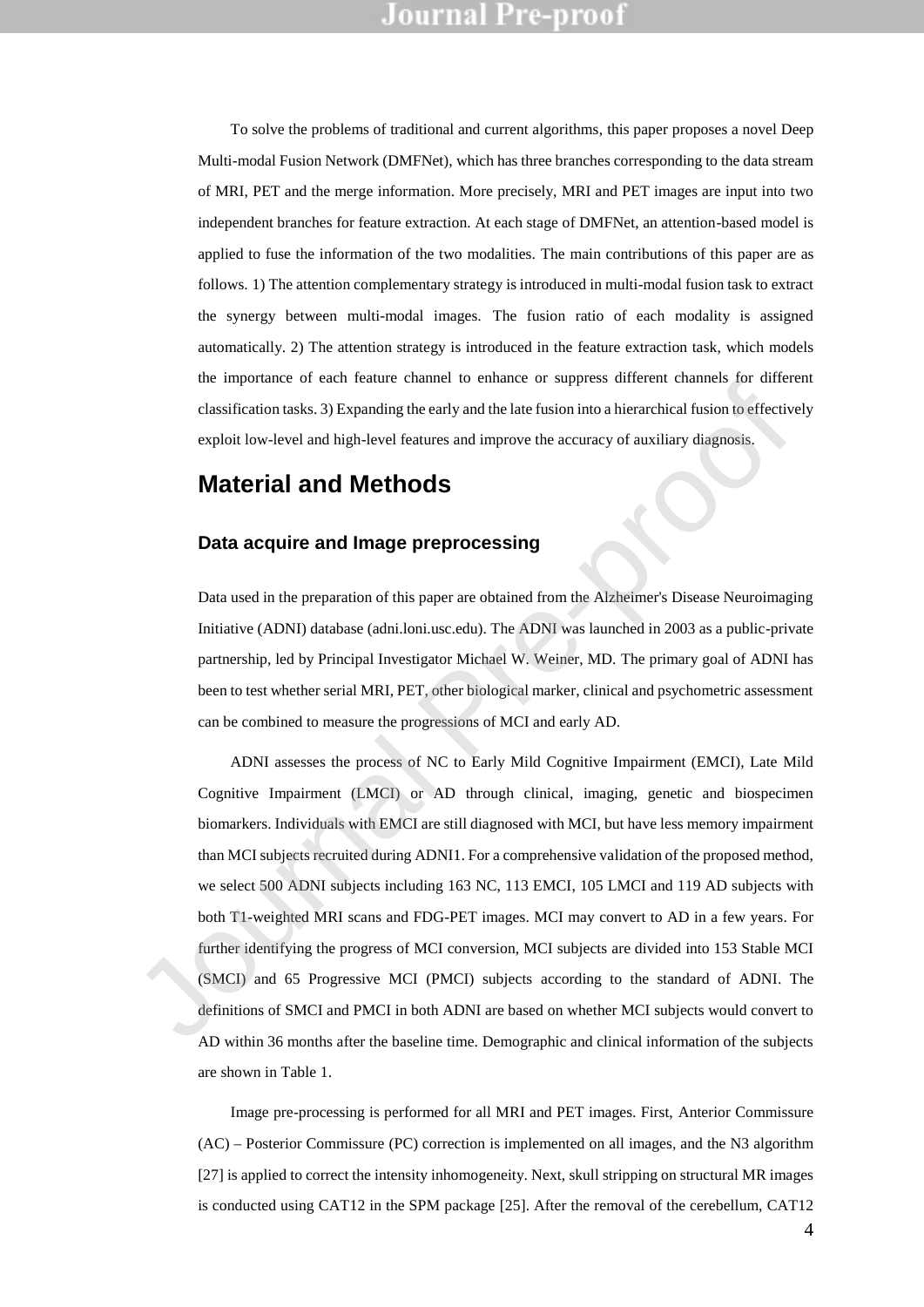To solve the problems of traditional and current algorithms, this paper proposes a novel Deep Multi-modal Fusion Network (DMFNet), which has three branches corresponding to the data stream of MRI, PET and the merge information. More precisely, MRI and PET images are input into two independent branches for feature extraction. At each stage of DMFNet, an attention-based model is applied to fuse the information of the two modalities. The main contributions of this paper are as follows. 1) The attention complementary strategy is introduced in multi-modal fusion task to extract the synergy between multi-modal images. The fusion ratio of each modality is assigned automatically. 2) The attention strategy is introduced in the feature extraction task, which models the importance of each feature channel to enhance or suppress different channels for different classification tasks. 3) Expanding the early and the late fusion into a hierarchical fusion to effectively exploit low-level and high-level features and improve the accuracy of auxiliary diagnosis.

### **Material and Methods**

#### **Data acquire and Image preprocessing**

Data used in the preparation of this paper are obtained from the Alzheimer's Disease Neuroimaging Initiative (ADNI) database (adni.loni.usc.edu). The ADNI was launched in 2003 as a public-private partnership, led by Principal Investigator Michael W. Weiner, MD. The primary goal of ADNI has been to test whether serial MRI, PET, other biological marker, clinical and psychometric assessment can be combined to measure the progressions of MCI and early AD.

ADNI assesses the process of NC to Early Mild Cognitive Impairment (EMCI), Late Mild Cognitive Impairment (LMCI) or AD through clinical, imaging, genetic and biospecimen biomarkers. Individuals with EMCI are still diagnosed with MCI, but have less memory impairment than MCI subjects recruited during ADNI1. For a comprehensive validation of the proposed method, we select 500 ADNI subjects including 163 NC, 113 EMCI, 105 LMCI and 119 AD subjects with both T1-weighted MRI scans and FDG-PET images. MCI may convert to AD in a few years. For further identifying the progress of MCI conversion, MCI subjects are divided into 153 Stable MCI (SMCI) and 65 Progressive MCI (PMCI) subjects according to the standard of ADNI. The definitions of SMCI and PMCI in both ADNI are based on whether MCI subjects would convert to AD within 36 months after the baseline time. Demographic and clinical information of the subjects are shown in Table 1. incomparative valuation and the threat of suppress uncertainties for the state<br>dissification tasks. 3) Expanding the early and the late fasion into a hierarchical fission to effective exploit low-level and high-level featu

Image pre-processing is performed for all MRI and PET images. First, Anterior Commissure  $(AC) \pm Posterior$  Commissure (PC) correction is implemented on all images, and the N3 algorithm [\[27\]](#page-18-2) is applied to correct the intensity inhomogeneity. Next, skull stripping on structural MR images is conducted using CAT12 in the SPM package [\[25\].](#page-18-3) After the removal of the cerebellum, CAT12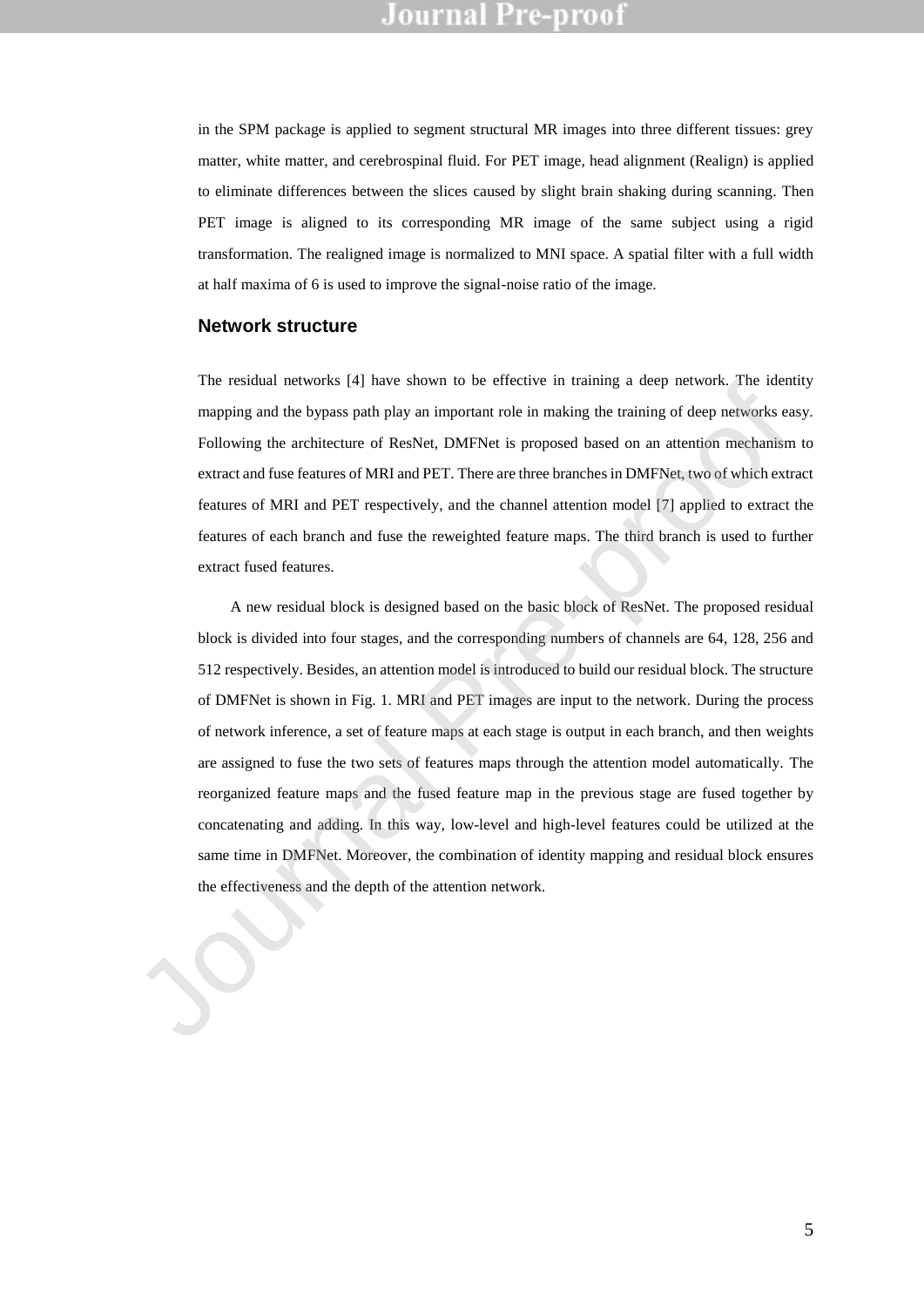in the SPM package is applied to segment structural MR images into three different tissues: grey matter, white matter, and cerebrospinal fluid. For PET image, head alignment (Realign) is applied to eliminate differences between the slices caused by slight brain shaking during scanning. Then PET image is aligned to its corresponding MR image of the same subject using a rigid transformation. The realigned image is normalized to MNI space. A spatial filter with a full width at half maxima of 6 is used to improve the signal-noise ratio of the image.

#### **Network structure**

The residual networks [4] have shown to be effective in training a deep network. The identity mapping and the bypass path play an important role in making the training of deep networks easy. Following the architecture of ResNet, DMFNet is proposed based on an attention mechanism to extract and fuse features of MRI and PET. There are three branches in DMFNet, two of which extract features of MRI and PET respectively, and the channel attention model [7] applied to extract the features of each branch and fuse the reweighted feature maps. The third branch is used to further extract fused features.

A new residual block is designed based on the basic block of ResNet. The proposed residual block is divided into four stages, and the corresponding numbers of channels are 64, 128, 256 and 512 respectively. Besides, an attention model is introduced to build our residual block. The structure of DMFNet is shown in Fig. 1. MRI and PET images are input to the network. During the process of network inference, a set of feature maps at each stage is output in each branch, and then weights are assigned to fuse the two sets of features maps through the attention model automatically. The reorganized feature maps and the fused feature map in the previous stage are fused together by concatenating and adding. In this way, low-level and high-level features could be utilized at the same time in DMFNet. Moreover, the combination of identity mapping and residual block ensures The resistant hetworks [+i] inve shown to be effective in training a deep network. The the more morphing and the bypass parally play an important [ro](#page-16-4)le in making the training of deep networks are proposed based on an attent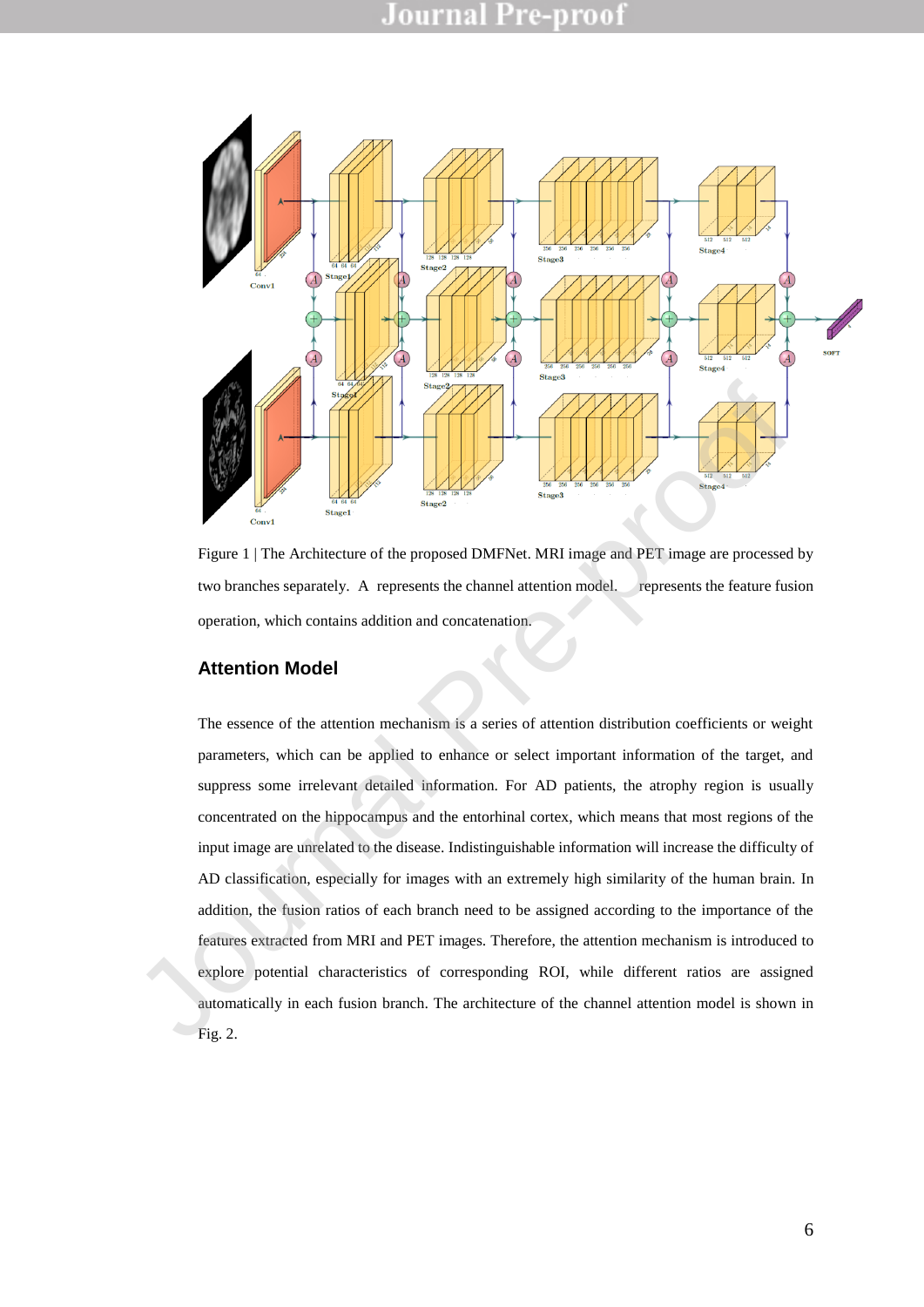

Figure 1 | The Architecture of the proposed DMFNet. MRI image and PET image are processed by two branches separately. A¼represents the channel attention model. ‰represents the feature fusion operation, which contains addition and concatenation.

#### **Attention Model**

The essence of the attention mechanism is a series of attention distribution coefficients or weight parameters, which can be applied to enhance or select important information of the target, and suppress some irrelevant detailed information. For AD patients, the atrophy region is usually concentrated on the hippocampus and the entorhinal cortex, which means that most regions of the input image are unrelated to the disease. Indistinguishable information will increase the difficulty of AD classification, especially for images with an extremely high similarity of the human brain. In addition, the fusion ratios of each branch need to be assigned according to the importance of the features extracted from MRI and PET images. Therefore, the attention mechanism is introduced to explore potential characteristics of corresponding ROI, while different ratios are assigned Figure 11 The Architecture of the proposed DMFNet. MRI image and PET image are processed by<br>
two branches separately. Af represents the channel attention model. "Seepresents the feature fusion<br>
operation, which contains ad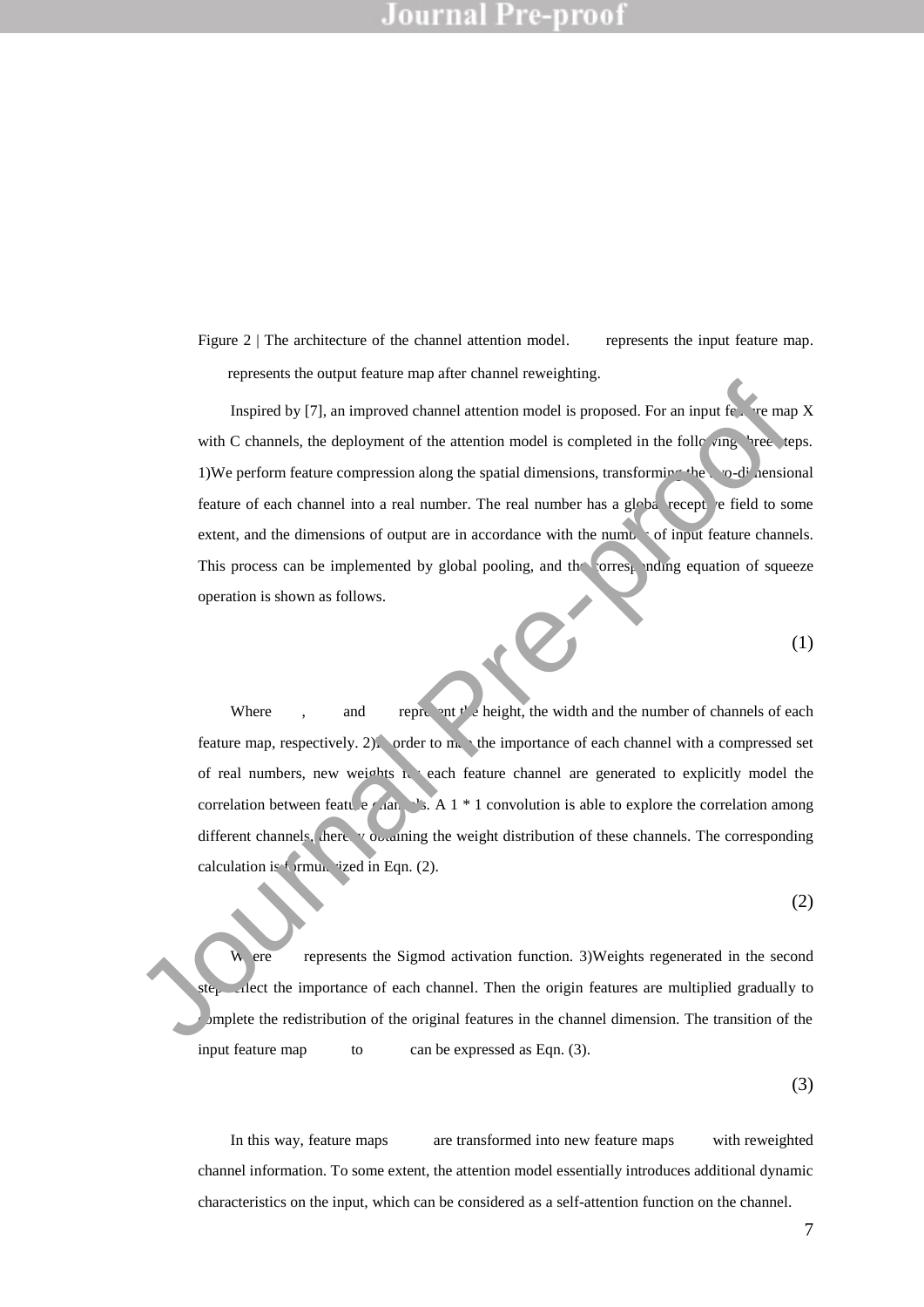Figure 2 | The architecture of the channel attention model. represents the input feature map. represents the output feature map after channel reweighting.

Inspired by [7], an improved channel attention model is proposed. For an input feature map  $X$ with C channels, the deployment of the attention model is completed in the following three teps. 1)We perform feature compression along the spatial dimensions, transforming the two-dimensional feature of each channel into a real number. The real number has a global receptive field to some extent, and the dimensions of output are in accordance with the number of input feature channels. This process can be implemented by global pooling, and the corresponding equation of squeeze operation is shown as follows. Inspired by [7], an improved channel attention model is proposed. For an input fe, we may with C channels, the ephoyment of the attention model is completed in the following week.<br>
1) We perform feature compression along

$$
(1)
$$

Where , and represent the height, the width and the number of channels of each feature map, respectively.  $2)$  order to map the importance of each channel with a compressed set of real numbers, new weights is each feature channel are generated to explicitly model the correlation between feature channels. A 1  $*$  1 convolution is able to explore the correlation among different channels, here voluming the weight distribution of these channels. The corresponding calculation is  $f(x)$  frmularized in Eqn. (2).

$$
(2)
$$

Where represents the Sigmod activation function. 3)Weights regenerated in the second step reflect the importance of each channel. Then the origin features are multiplied gradually to mplete the redistribution of the original features in the channel dimension. The transition of the input feature map to can be expressed as Eqn. (3).

(3)

In this way, feature maps are transformed into new feature maps with reweighted channel information. To some extent, the attention model essentially introduces additional dynamic characteristics on the input, which can be considered as a self-attention function on the channel.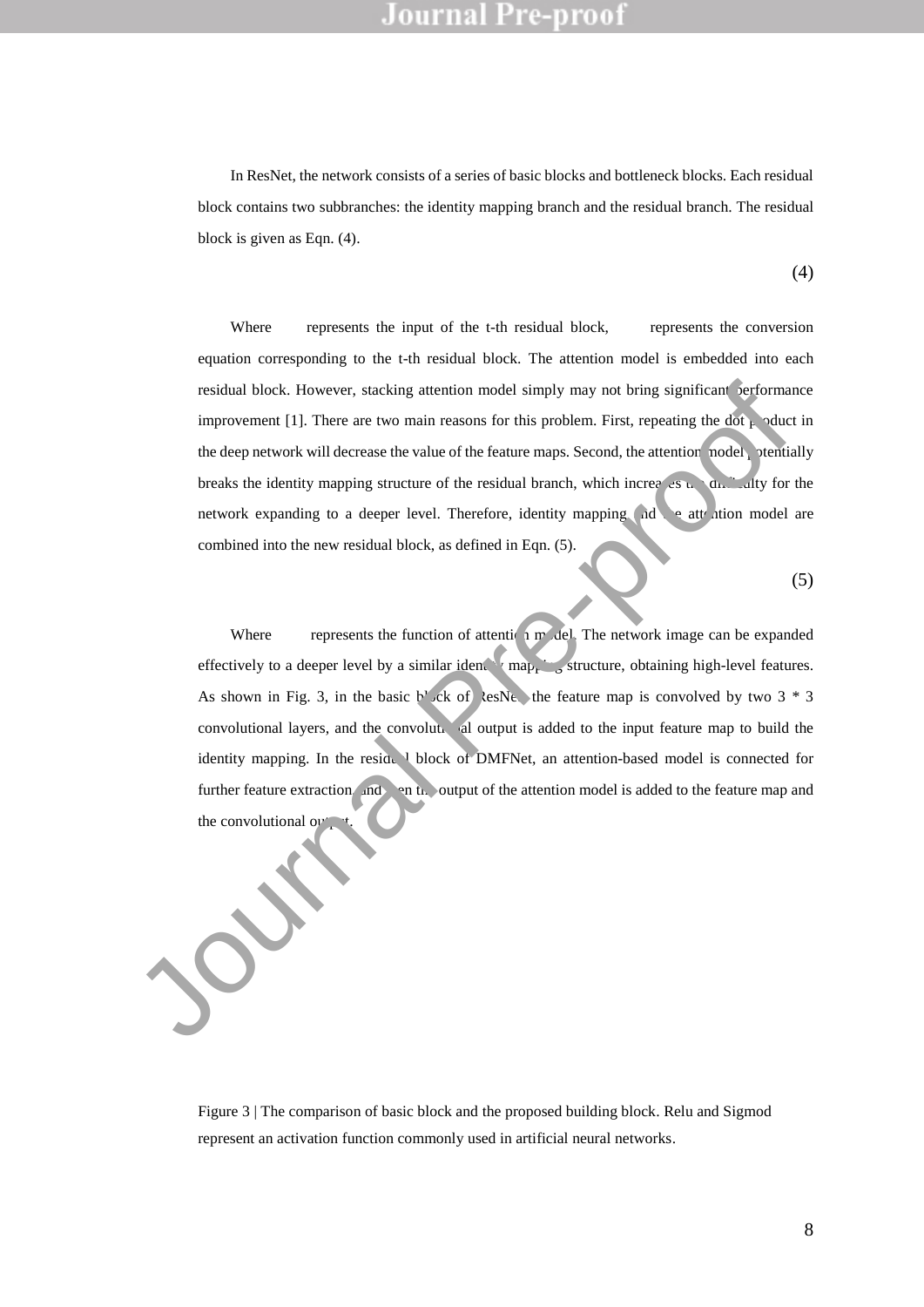#### Attention for feature extraction

In ResNet, the network consists of a series of basic blocks and bottleneck blocks. Each residual block contains two subbranches: the identity mapping branch and the residual branch. The residual block is given as Eqn. (4).

(4)

Where represents the input of the t-th residual block, represents the conversion equation corresponding to the t-th residual block. The attention model is embedded into each residual block. However, stacking attention model simply may not bring significant performance improvement [1]. There are two main reasons for this problem. First, repeating the dot, reduct in the deep network will decrease the value of the feature maps. Second, the attention nodel perficially breaks the identity mapping structure of the residual branch, which increases the differential for the network expanding to a deeper level. Therefore, identity mapping and the attention model are combined into the new residual block, as defined in Eqn. (5).

(5)

Where represents the function of attention  $\ln m$  de<sup>1</sup>. The network image can be expanded. effectively to a deeper level by a similar identity mapping structure, obtaining high-level features. As shown in Fig. 3, in the basic  $\frac{1}{2}$  ock of ResNet, the feature map is convolved by two 3  $*$  3 convolutional layers, and the convolutional output is added to the input feature map to build the identity mapping. In the residual block of DMFNet, an attention-based model is connected for further feature extraction, and the output of the attention model is added to the feature map and the convolutional ov $t$ residual block. However, stacking attention model simply may not bring significant beform<br>improvement [1]. There are two main reasons for this problem. First, repeating the dot), when<br>the desceptative mapping attractive o

Figure 3 | The comparison of basic block and the proposed building block. Relu and Sigmod represent an activation function commonly used in artificial neural networks.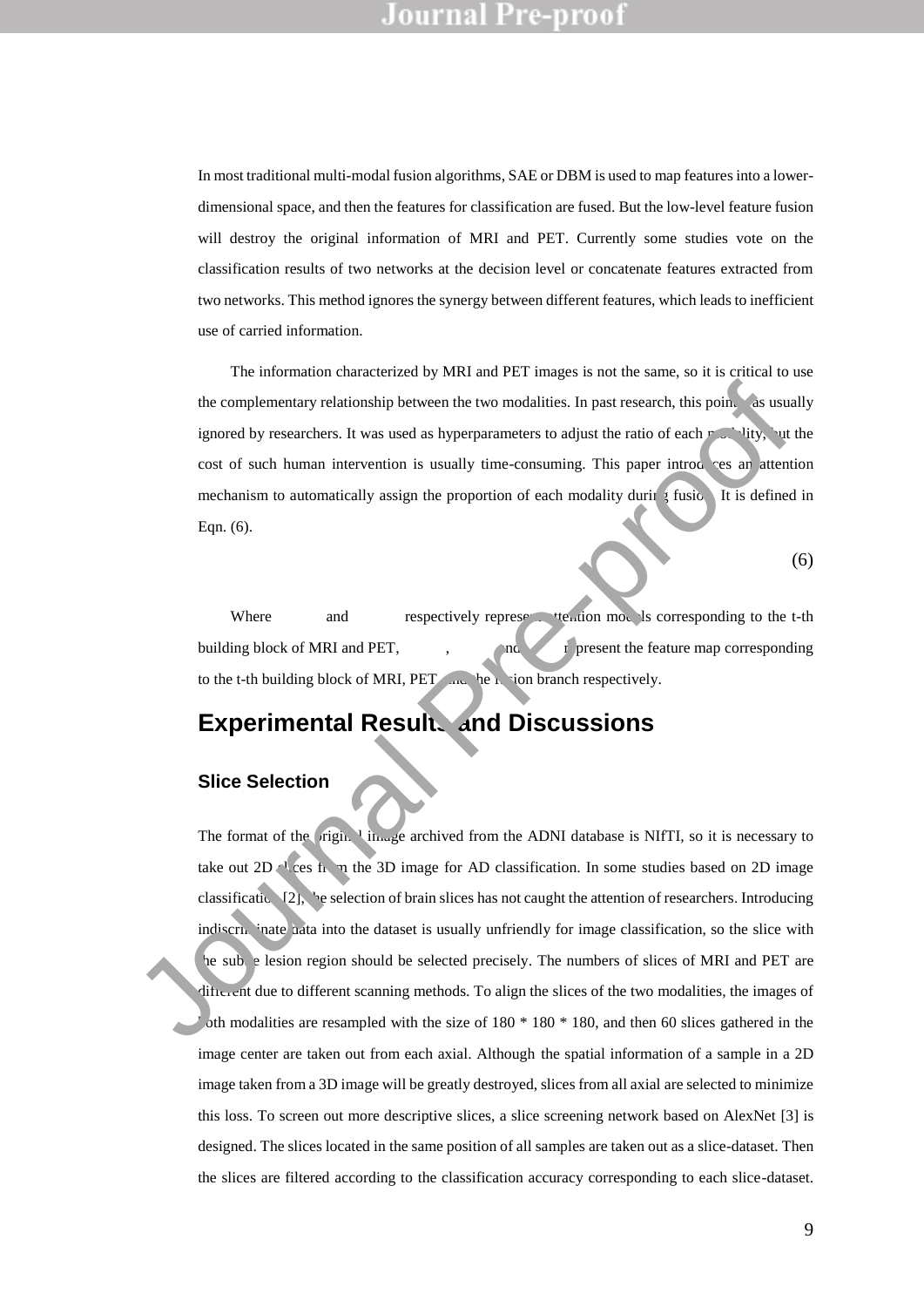#### Attention for feature fusion

In most traditional multi-modal fusion algorithms, SAE or DBM is used to map features into a lowerdimensional space, and then the features for classification are fused. But the low-level feature fusion will destroy the original information of MRI and PET. Currently some studies vote on the classification results of two networks at the decision level or concatenate features extracted from two networks. This method ignores the synergy between different features, which leads to inefficient use of carried information.

The information characterized by MRI and PET images is not the same, so it is critical to use the complementary relationship between the two modalities. In past research, this point was usually ignored by researchers. It was used as hyperparameters to adjust the ratio of each model ity, but the cost of such human intervention is usually time-consuming. This paper introduces an attention mechanism to automatically assign the proportion of each modality during fusion. It is defined in Eqn. (6).

(6)

Where and respectively represent tention models corresponding to the t-th building block of MRI and PET, , and represent the feature map corresponding to the t-th building block of MRI,  $\overline{PET}$  and the  $\overline{I}$  to branch respectively.

### **Experimental Results and Discussions**

#### **Slice Selection**

The format of the  $\pi$  rigin. I image archived from the ADNI database is NIfTI, so it is necessary to take out 2D  $\cdot$  ces from the 3D image for AD classification. In some studies based on 2D image classification  $[2]$ , the selection of brain slices has not caught the attention of researchers. Introducing indiscriminate data into the dataset is usually unfriendly for image classification, so the slice with the subtle lesion region should be selected precisely. The numbers of slices of MRI and PET are different due to different scanning methods. To align the slices of the two modalities, the images of oth modalities are resampled with the size of  $180 * 180 * 180$ , and then 60 slices gathered in the image center are taken out from each axial. Although the spatial information of a sample in a 2D image taken from a 3D image will be greatly destroyed, slices from all axial are selected to minimize this loss. To screen out more descriptive slices, a slice screening network based on AlexNet [\[3\]](#page-16-7) is designed. The slices located in the same position of all samples are taken out as a slice-dataset. Then the slices are filtered according to the classification accuracy corresponding to each slice-dataset. the complementary relationship between the two modalities. In past research, this point was used<br>ignored by researchers. It was used as hyperparameters to adjust the ratio of each<br>cost of such human intervention is usuall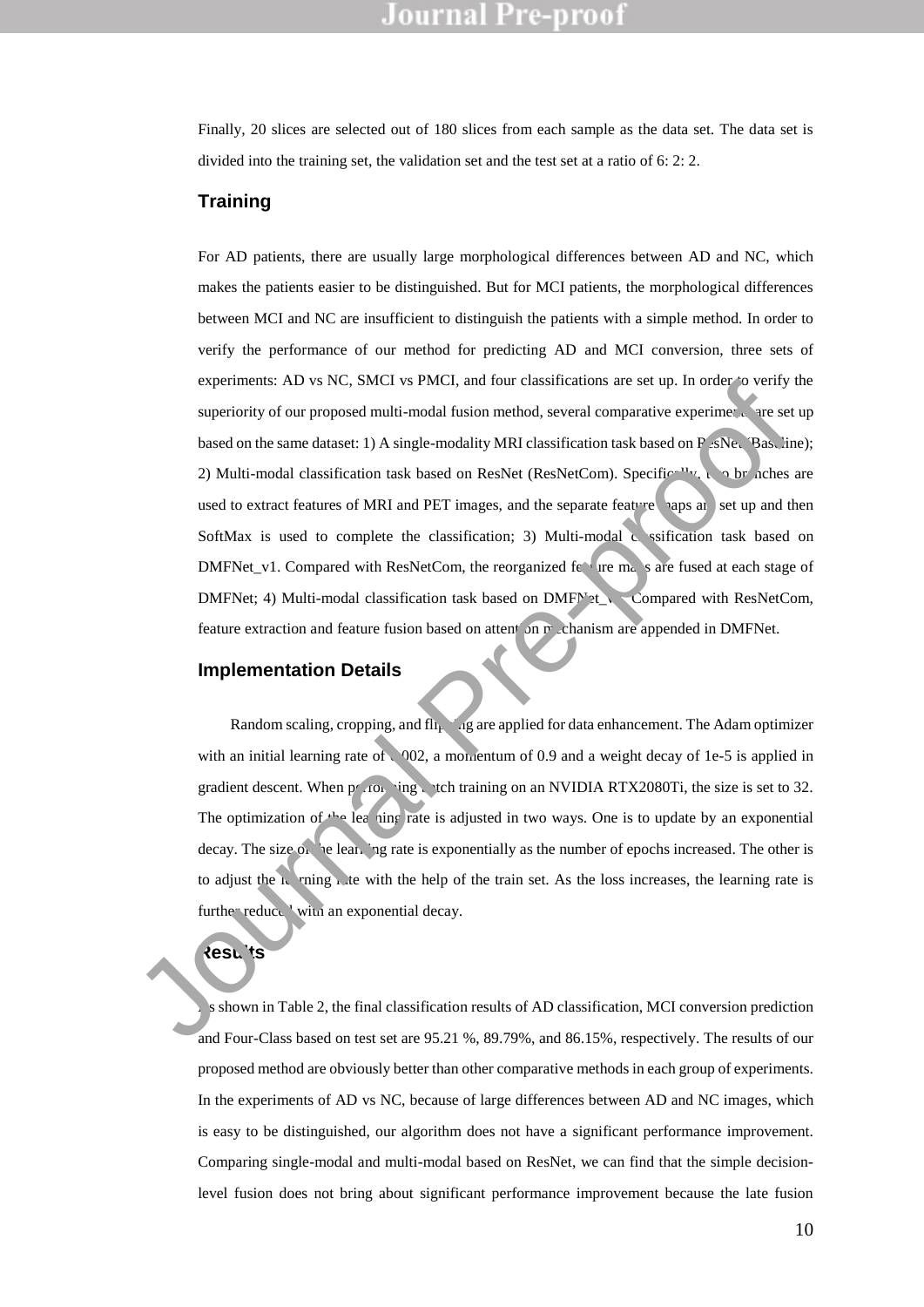Finally, 20 slices are selected out of 180 slices from each sample as the data set. The data set is divided into the training set, the validation set and the test set at a ratio of 6: 2: 2.

#### **Training**

For AD patients, there are usually large morphological differences between AD and NC, which makes the patients easier to be distinguished. But for MCI patients, the morphological differences between MCI and NC are insufficient to distinguish the patients with a simple method. In order to verify the performance of our method for predicting AD and MCI conversion, three sets of experiments: AD vs NC, SMCI vs PMCI, and four classifications are set up. In order to verify the superiority of our proposed multi-modal fusion method, several comparative experiments are set up based on the same dataset: 1) A single-modality MRI classification task based on  $\overline{P}$  sNet  $\overline{B}$ as line); 2) Multi-modal classification task based on ResNet (ResNetCom). Specifically, two branches are used to extract features of MRI and PET images, and the separate feature haps are set up and then SoftMax is used to complete the classification; 3) Multi-modal can saif cation task based on DMFNet\_v1. Compared with ResNetCom, the reorganized feature maps are fused at each stage of DMFNet; 4) Multi-modal classification task based on  $DMF^*$   $\geq$  Compared with ResNetCom, feature extraction and feature fusion based on attention mechanism are appended in DMFNet. experiments: AD vs Nvc, SMCL vs PARCL, and duri crassincations are set up. in other-or verty<br>superbritty of our proposed multi-modal fusion method, everty conservative experiments.<br>Also also the same dataset: 1) A single-

#### **Implementation Details**

Random scaling, cropping, and  $f\|_p$  ing are applied for data enhancement. The Adam optimizer with an initial learning rate of  $\sqrt{0.02}$ , a momentum of 0.9 and a weight decay of 1e-5 is applied in gradient descent. When performing batch training on an NVIDIA RTX2080Ti, the size is set to 32. The optimization of the learning rate is adjusted in two ways. One is to update by an exponential decay. The size of the learning rate is exponentially as the number of epochs increased. The other is to adjust the learning rate with the help of the train set. As the loss increases, the learning rate is further reduce with an exponential decay.

#### **Results**

As shown in Table 2, the final classification results of AD classification, MCI conversion prediction and Four-Class based on test set are 95.21 %, 89.79%, and 86.15%, respectively. The results of our proposed method are obviously better than other comparative methods in each group of experiments. In the experiments of AD vs NC, because of large differences between AD and NC images, which is easy to be distinguished, our algorithm does not have a significant performance improvement. Comparing single-modal and multi-modal based on ResNet, we can find that the simple decisionlevel fusion does not bring about significant performance improvement because the late fusion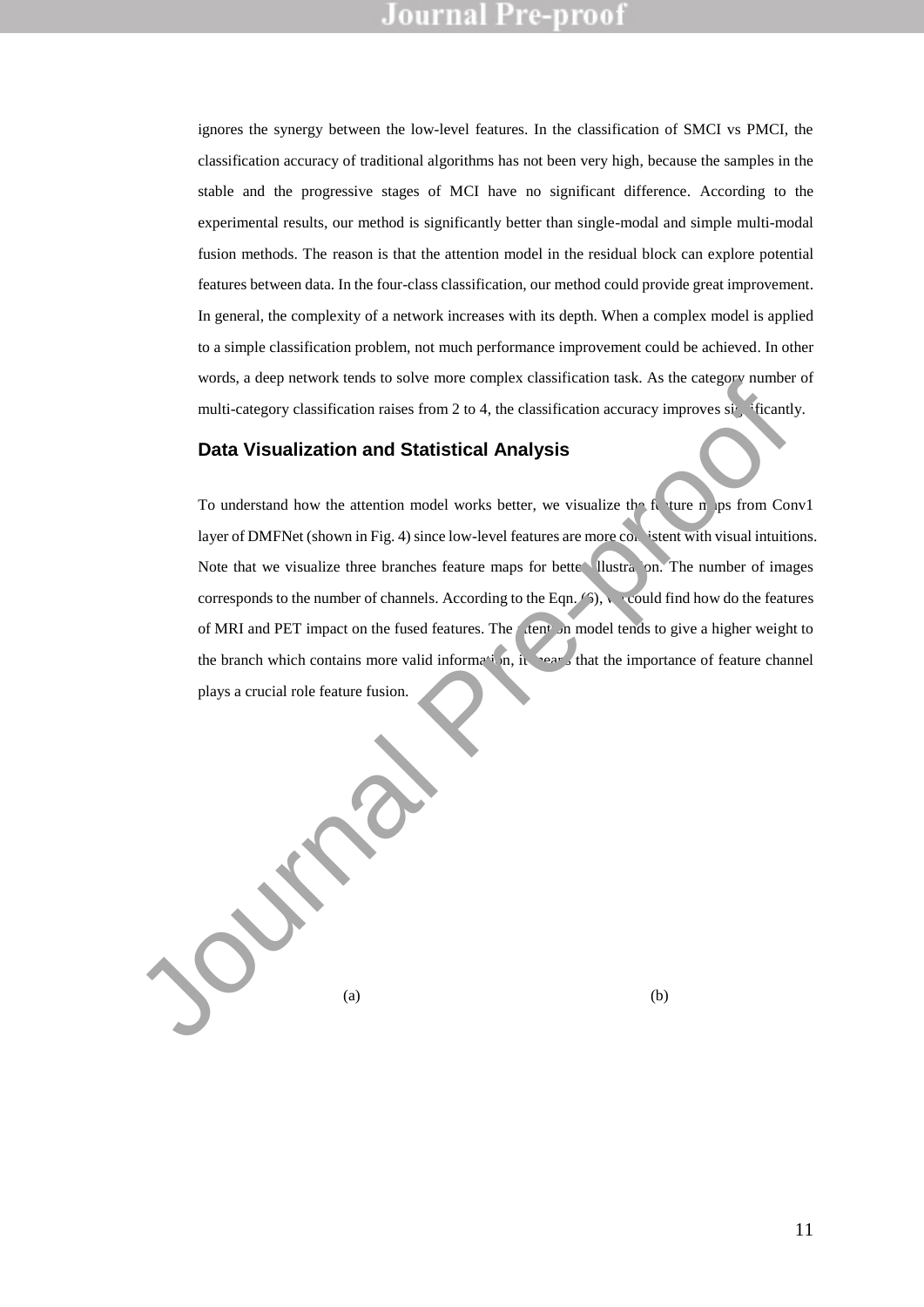ignores the synergy between the low-level features. In the classification of SMCI vs PMCI, the classification accuracy of traditional algorithms has not been very high, because the samples in the stable and the progressive stages of MCI have no significant difference. According to the experimental results, our method is significantly better than single-modal and simple multi-modal fusion methods. The reason is that the attention model in the residual block can explore potential features between data. In the four-class classification, our method could provide great improvement. In general, the complexity of a network increases with its depth. When a complex model is applied to a simple classification problem, not much performance improvement could be achieved. In other words, a deep network tends to solve more complex classification task. As the category number of multi-category classification raises from 2 to 4, the classification accuracy improves significantly.

#### **Data Visualization and Statistical Analysis**

To understand how the attention model works better, we visualize the feature maps from Conv1 layer of DMFNet (shown in Fig. 4) since low-level features are more consistent with visual intuitions. Note that we visualize three branches feature maps for bette Illustration. The number of images corresponds to the number of channels. According to the Eqn. (5), we could find how do the features of MRI and PET impact on the fused features. The  $\ell$  tention model tends to give a higher weight to the branch which contains more valid information, it means that the importance of feature channel plays a crucial role feature fusion. multi-category classification raises from 21 to 4, the classification accuracy improves say interest.<br>
Data Visualization and Statistical Analysis<br>
To understand how the attention model works better, we visualize the figu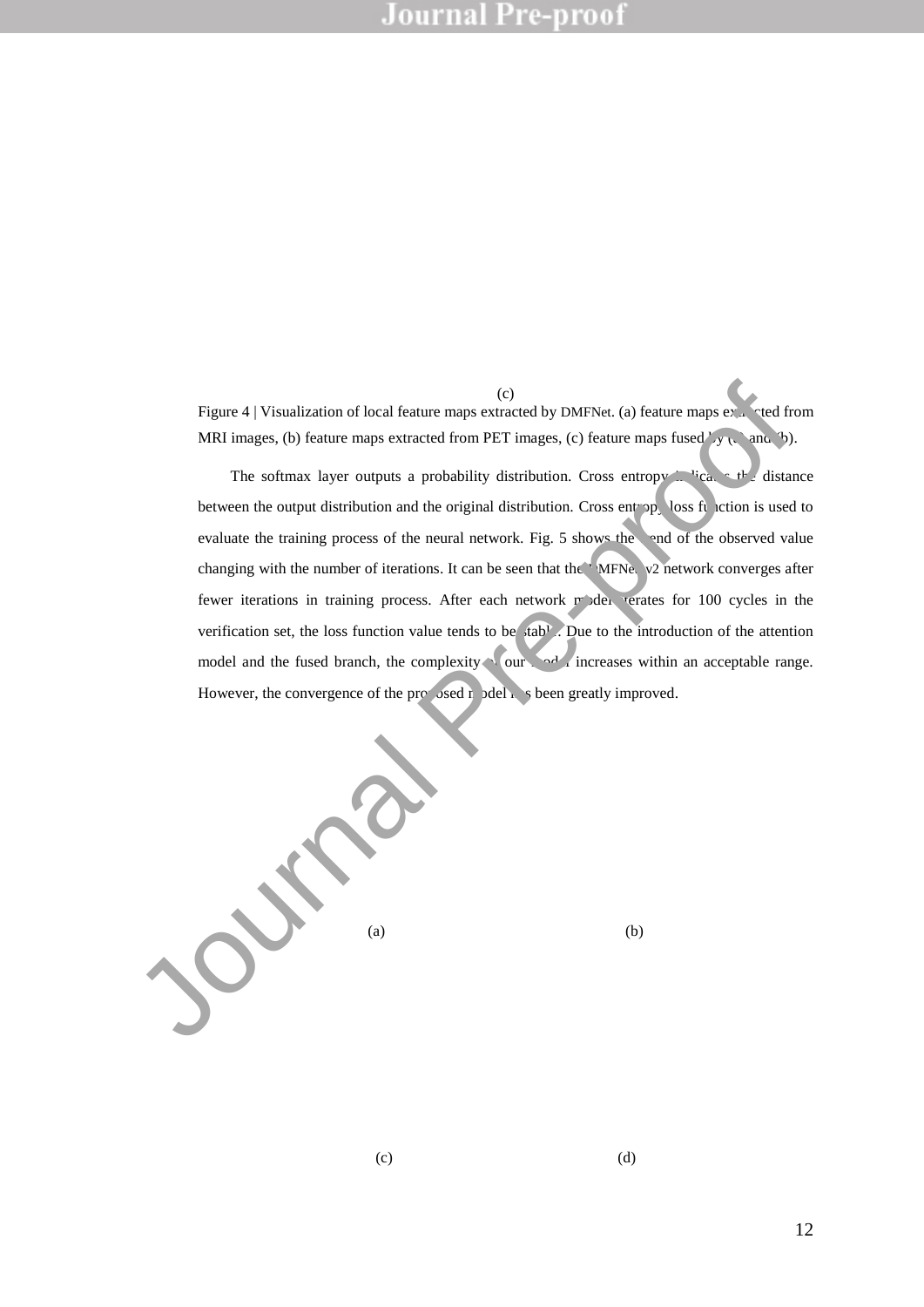(c) Figure 4 | Visualization of local feature maps extracted by DMFNet. (a) feature maps extracted from MRI images, (b) feature maps extracted from PET images, (c) feature maps fused  $\gamma$  (a) and (b).

The softmax layer outputs a probability distribution. Cross entropy  $\Box$  i.e.  $\Box$  distance between the output distribution and the original distribution. Cross entropy loss function is used to evaluate the training process of the neural network. Fig. 5 shows the end of the observed value changing with the number of iterations. It can be seen that the MFNe  $v^2$  network converges after fewer iterations in training process. After each network  $r$  der verates for 100 cycles in the verification set, the loss function value tends to be stable. Due to the introduction of the attention model and the fused branch, the complexity our model increases within an acceptable range. However, the convergence of the proposed model has been greatly improved. Figure 4 | Visualization of local feature maps exceed by DMFNet. (a) feature maps exceed MRI images, (b) feature maps extracted from PFT images, (c) feature maps fixed. The number of the offmat layer outputs a probability

 $(a)$  (b)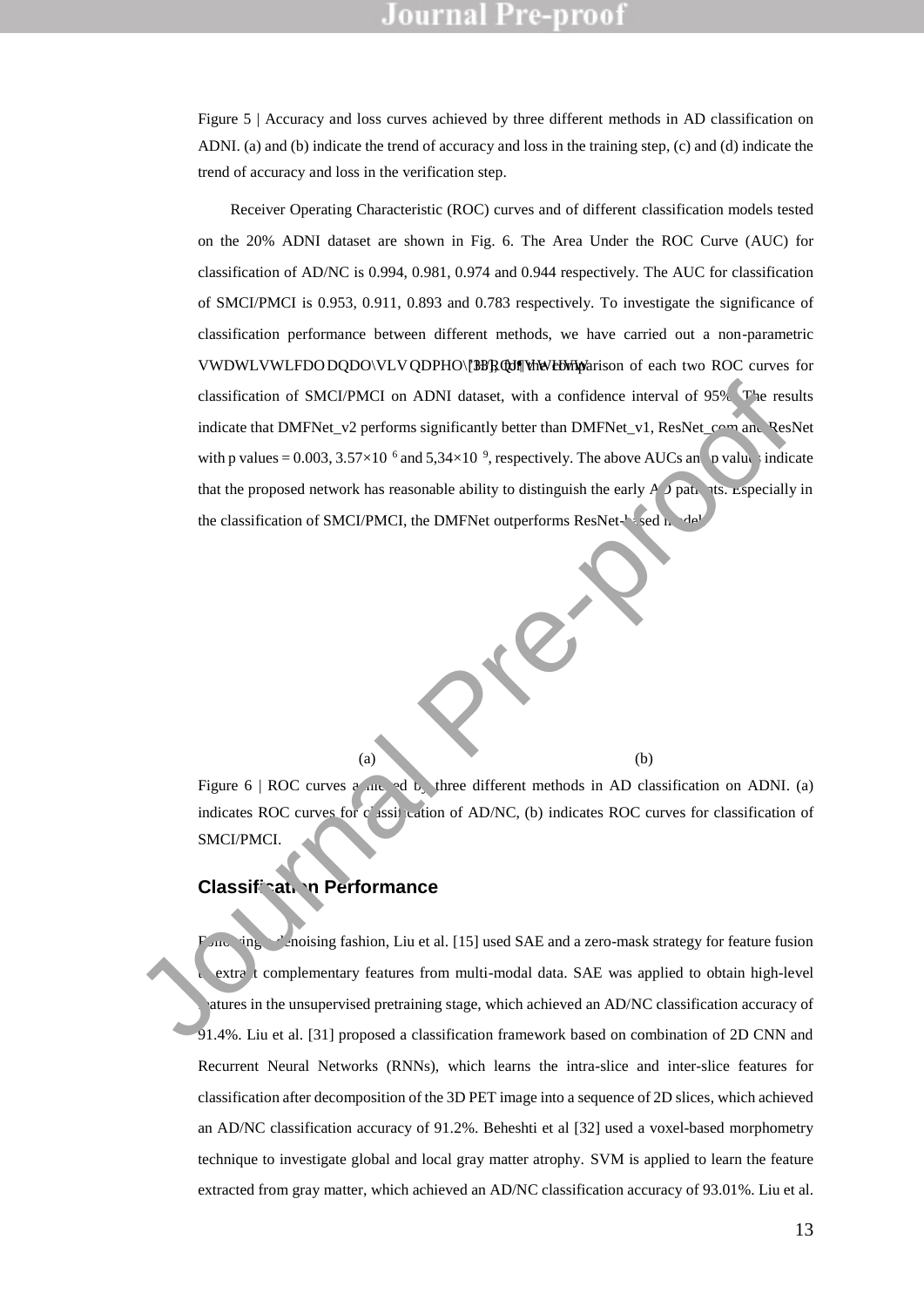Figure 5 | Accuracy and loss curves achieved by three different methods in AD classification on ADNI. (a) and (b) indicate the trend of accuracy and loss in the training step, (c) and (d) indicate the trend of accuracy and loss in the verification step.

Receiver Operating Characteristic (ROC) curves and of different classification models tested on the 20% ADNI dataset are shown in Fig. 6. The Area Under the ROC Curve (AUC) for classification of AD/NC is 0.994, 0.981, 0.974 and 0.944 respectively. The AUC for classification of SMCI/PMCI is 0.953, 0.911, 0.893 and 0.783 respectively. To investigate the significance of classification performance between different methods, we have carried out a non-parametric VWDWLVWLFDODQOVLVQPHO\'H/RQY3WHUVWE comparison of each two ROC curves for classification of SMCI/PMCI on ADNI dataset, with a confidence interval of 95%. The results indicate that DMFNet\_v2 performs significantly better than DMFNet\_v1, ResNet\_com and ResNet with p values =  $0.003$ ,  $3.57 \times 10^{6}$  and  $5.34 \times 10^{6}$ , respectively. The above AUCs and p value indicate that the proposed network has reasonable ability to distinguish the early  $\overrightarrow{A}$  patients. Especially in the classification of SMCI/PMCI, the DMFNet outperforms  $\text{ResNet-}^{1}$  sed model. classification of SMCLPMCI on ADNI dataset, with a confidence interval of 95%. The restrained that DMFNet v2 performs significantly better dan DMFNet v1, ResNet come an Res<br>with p values = 0.003, 3.57×10<sup>t</sup> and 5.34×10<sup>9</sup>

Figure 6 | ROC curves  $\epsilon$  and  $\epsilon$  d by three different methods in AD classification on ADNI. (a) indicates ROC curves for cl ssif cation of AD/NC, (b) indicates ROC curves for classification of SMCI/PMCI.

 $(a)$  (b)

#### **Classifination Performance**

Foreign a denoting fashion, Liu et al. [15] used SAE and a zero-mask strategy for feature fusion  $extra$  to complementary features from multi-modal data. SAE was applied to obtain high-level features in the unsupervised pretraining stage, which achieved an AD/NC classification accuracy of 91.4%. Liu et al. [31] proposed a classification framework based on combination of 2D CNN and Recurrent Neural Networks (RNNs), which learns the intra-slice and inter-slice features for classification after decomposition of the 3D PET image into a sequence of 2D slices, which achieved an AD/NC classification accuracy of 91.2%. Beheshti et al [\[32\]](#page-18-6) used a voxel-based morphometry technique to investigate global and local gray matter atrophy. SVM is applied to learn the feature extracted from gray matter, which achieved an AD/NC classification accuracy of 93.01%. Liu et al.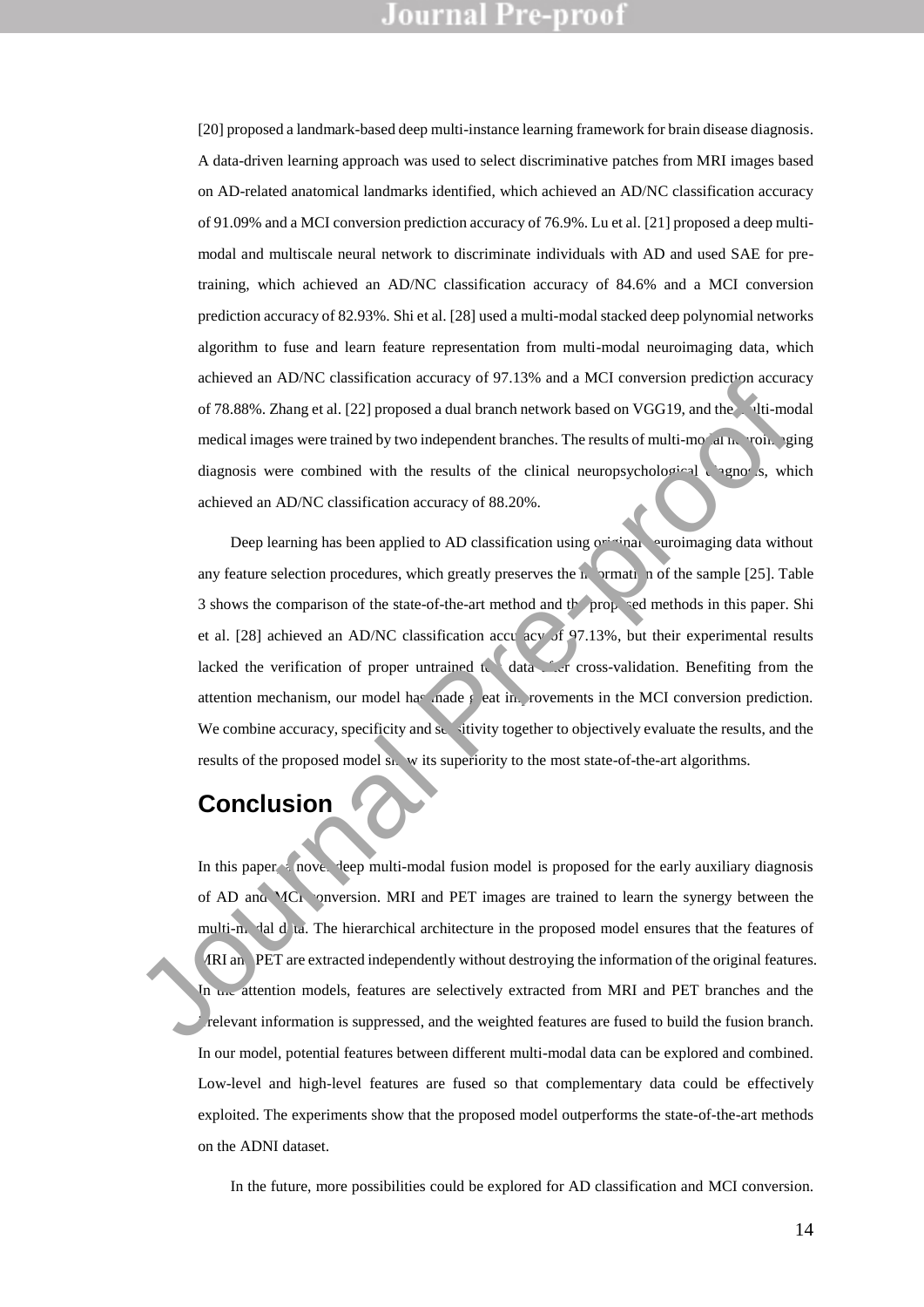[\[20\]](#page-17-10) proposed a landmark-based deep multi-instance learning framework for brain disease diagnosis. A data-driven learning approach was used to select discriminative patches from MRI images based on AD-related anatomical landmarks identified, which achieved an AD/NC classification accuracy of 91.09% and a MCI conversion prediction accuracy of 76.9%. Lu et al[. \[21\]](#page-18-7) proposed a deep multimodal and multiscale neural network to discriminate individuals with AD and used SAE for pretraining, which achieved an AD/NC classification accuracy of 84.6% and a MCI conversion prediction accuracy of 82.93%. Shi et al. [\[28\]](#page-18-8) used a multi-modal stacked deep polynomial networks algorithm to fuse and learn feature representation from multi-modal neuroimaging data, which achieved an AD/NC classification accuracy of 97.13% and a MCI conversion prediction accuracy of 78.88%. Zhang et al. [22] proposed a dual branch network based on VGG19, and the ulti-modal medical images were trained by two independent branches. The results of multi-modal neuroinaging diagnosis were combined with the results of the clinical neuropsychological diagnosis, which achieved an AD/NC classification accuracy of 88.20%.

Deep learning has been applied to AD classification using original puroimaging data without any feature selection procedures, which greatly preserves the  $\hat{h}$  ormation of the sample [25]. Table 3 shows the comparison of the state-of-the-art method and  $t_{\text{prop}}$  sed methods in this paper. Shi et al. [28] achieved an AD/NC classification accuracy of 97.13%, but their experimental results lacked the verification of proper untrained to data and cross-validation. Benefiting from the attention mechanism, our model has made eat in provements in the MCI conversion prediction. We combine accuracy, specificity and sequely intervely evaluate the results, and the results of the proposed model s<sub>how</sub> its superiority to the most state-of-the-art algorithms. and the matrice case and Pre-proof and the matrice of the conversion previous of  $78.88\%$ . Zhang et al. (22) proposed a dual branch network based on VGG19 and the  $\epsilon$  this medical images were trained by two independent

### **Conclusion**

In this paper, novel deep multi-modal fusion model is proposed for the early auxiliary diagnosis of AD and MCI onversion. MRI and PET images are trained to learn the synergy between the multi-modal data. The hierarchical architecture in the proposed model ensures that the features of IRI and PET are extracted independently without destroying the information of the original features. In the attention models, features are selectively extracted from MRI and PET branches and the relevant information is suppressed, and the weighted features are fused to build the fusion branch. In our model, potential features between different multi-modal data can be explored and combined. Low-level and high-level features are fused so that complementary data could be effectively exploited. The experiments show that the proposed model outperforms the state-of-the-art methods on the ADNI dataset.

In the future, more possibilities could be explored for AD classification and MCI conversion.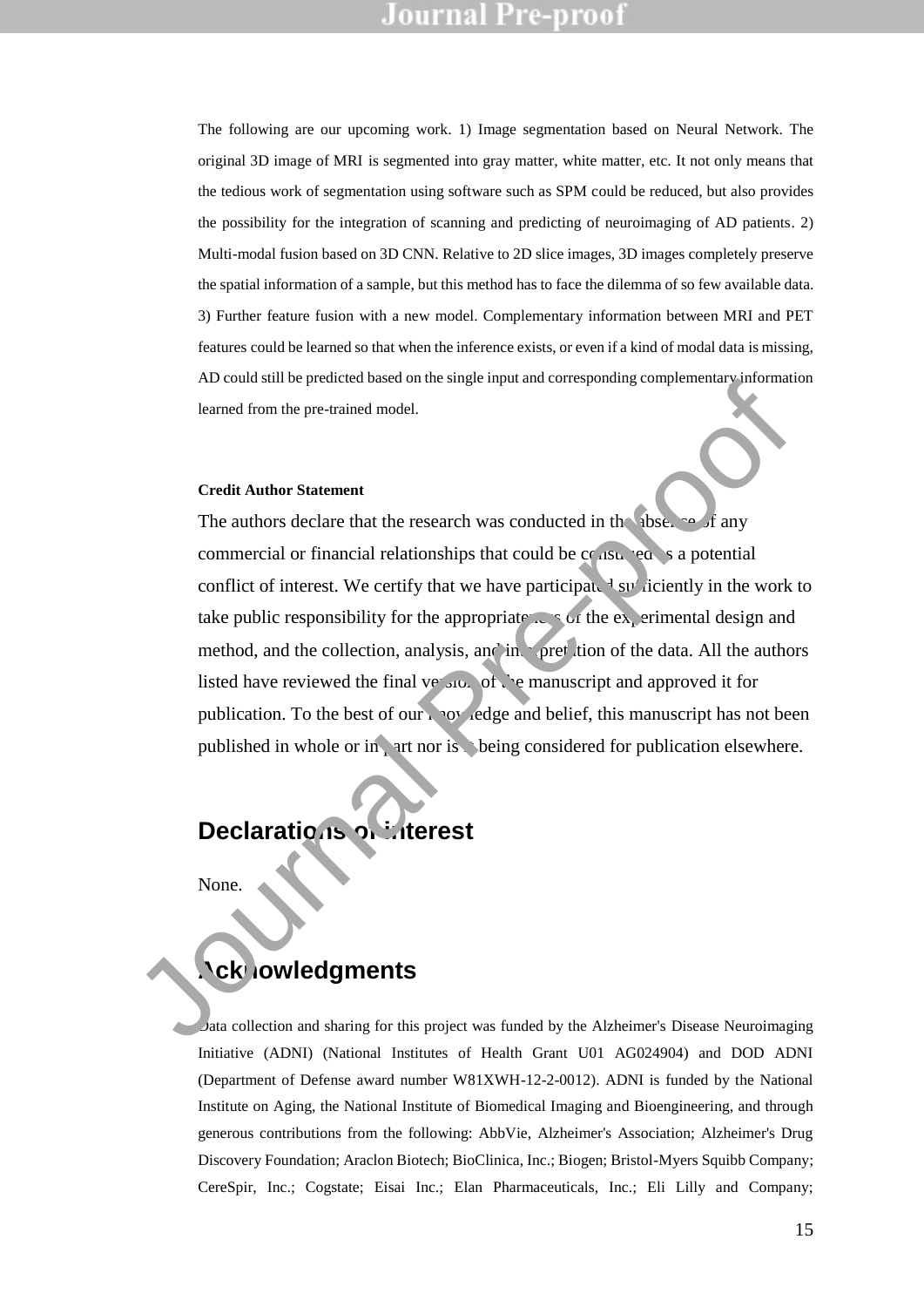The following are our upcoming work. 1) Image segmentation based on Neural Network. The original 3D image of MRI is segmented into gray matter, white matter, etc. It not only means that the tedious work of segmentation using software such as SPM could be reduced, but also provides the possibility for the integration of scanning and predicting of neuroimaging of AD patients. 2) Multi-modal fusion based on 3D CNN. Relative to 2D slice images, 3D images completely preserve the spatial information of a sample, but this method has to face the dilemma of so few available data. 3) Further feature fusion with a new model. Complementary information between MRI and PET features could be learned so that when the inference exists, or even if a kind of modal data is missing, AD could still be predicted based on the single input and corresponding complementary information learned from the pre-trained model.

#### **Credit Author Statement**

The authors declare that the research was conducted in the absence of any commercial or financial relationships that could be  $c_1$  as a potential conflict of interest. We certify that we have participated sufficiently in the work to take public responsibility for the appropriate  $\sim$  of the experimental design and method, and the collection, analysis, and in  $\gamma$  pretation of the data. All the authors listed have reviewed the final version of the manuscript and approved it for publication. To the best of our knowledge and belief, this manuscript has not been published in whole or in art nor is being considered for publication elsewhere. Credit Author Statement<br>
The authors declare that the research was conducted in the those and any<br>
The authors declare that the research was conducted in the those and a positional<br>
Credit Author Statement<br>
The authors dec

### **Declarations of interest**

None.

### **Ack lowledgments**

Data collection and sharing for this project was funded by the Alzheimer's Disease Neuroimaging Initiative (ADNI) (National Institutes of Health Grant U01 AG024904) and DOD ADNI (Department of Defense award number W81XWH-12-2-0012). ADNI is funded by the National Institute on Aging, the National Institute of Biomedical Imaging and Bioengineering, and through generous contributions from the following: AbbVie, Alzheimer's Association; Alzheimer's Drug Discovery Foundation; Araclon Biotech; BioClinica, Inc.; Biogen; Bristol-Myers Squibb Company; CereSpir, Inc.; Cogstate; Eisai Inc.; Elan Pharmaceuticals, Inc.; Eli Lilly and Company;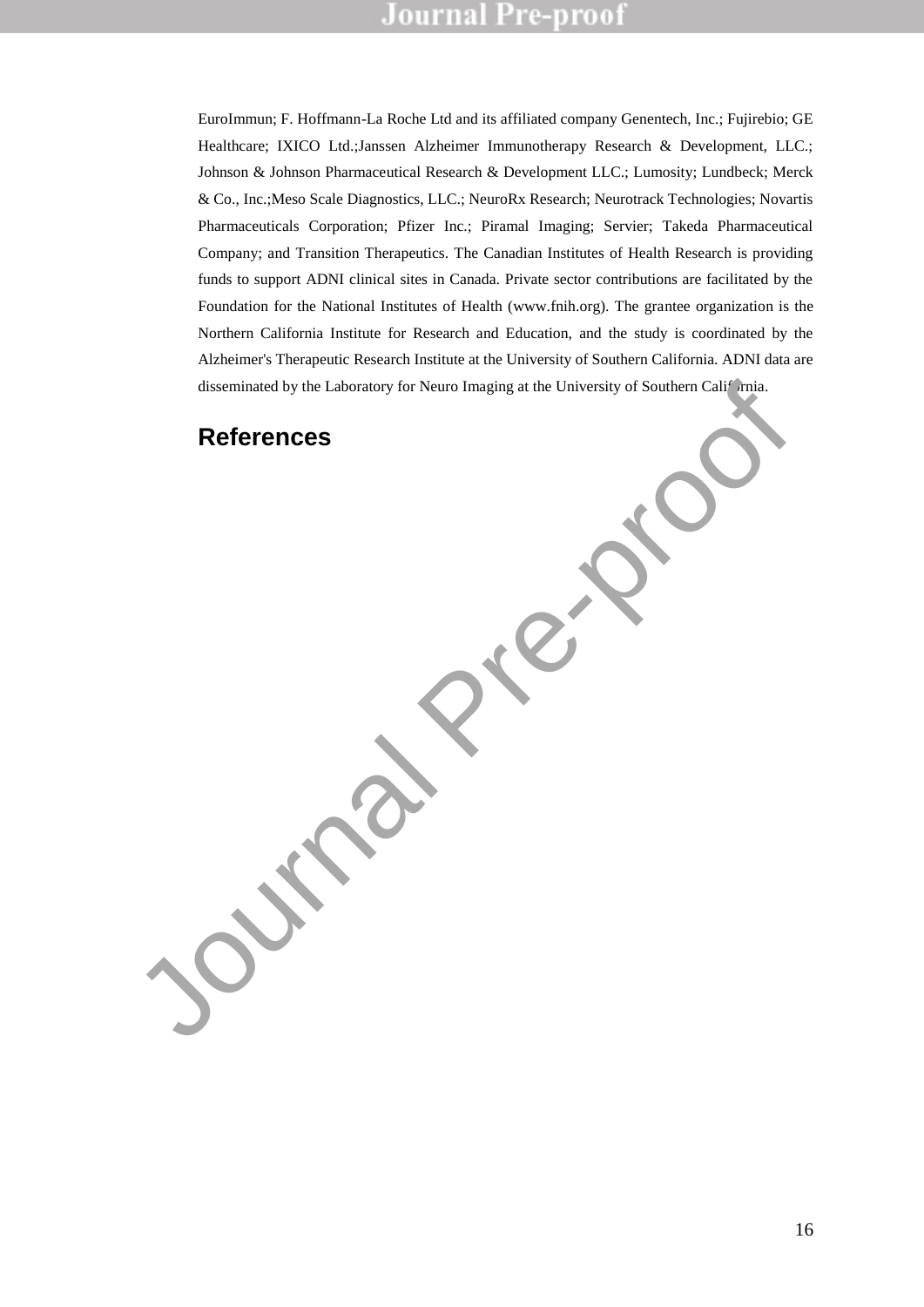EuroImmun; F. Hoffmann-La Roche Ltd and its affiliated company Genentech, Inc.; Fujirebio; GE Healthcare; IXICO Ltd.;Janssen Alzheimer Immunotherapy Research & Development, LLC.; Johnson & Johnson Pharmaceutical Research & Development LLC.; Lumosity; Lundbeck; Merck & Co., Inc.;Meso Scale Diagnostics, LLC.; NeuroRx Research; Neurotrack Technologies; Novartis Pharmaceuticals Corporation; Pfizer Inc.; Piramal Imaging; Servier; Takeda Pharmaceutical Company; and Transition Therapeutics. The Canadian Institutes of Health Research is providing funds to support ADNI clinical sites in Canada. Private sector contributions are facilitated by the Foundation for the National Institutes of Health (www.fnih.org). The grantee organization is the Northern California Institute for Research and Education, and the study is coordinated by the Alzheimer's Therapeutic Research Institute at the University of Southern California. ADNI data are disseminated by the Laboratory for Neuro Imaging at the University of Southern California.

### **References**

- <span id="page-16-5"></span>[1]. Wang F, Jiang M, Qian C, et al. Residual Attention Network for Image Classification[C]// 2017 IEEE Conference on  $Comp$  tel Vision and Pattern Recognition (CVPR). IEEE, 2017.]. Doi ö 10.1109/CVPR 2017.683
- <span id="page-16-6"></span>[2]. Hon M, Khan N. Towards Alzheimer's Diseas, Clase fication through Transfer Learning[J]. 2017.
- <span id="page-16-7"></span>[3]. Alex Krizhevsky, I Sutskever G Hinton. ImageNet Classification with Deep Convolutional Neural Net orks[J]. Advances in neural information processing systems, 2012, 25(2). Doi ö 1 145/3065386
- <span id="page-16-3"></span>[4]. He K, Zhang X, Ren S, and Sun J. Delving deep into rectifiers: Surpassing humanlevel performance in imagenet classification. In ICCV, 2015. 2, 5 Doi: 10.1109/ICCV.2015.123
- <span id="page-16-4"></span><span id="page-16-2"></span><span id="page-16-1"></span><span id="page-16-0"></span>[5]. Wang J., W ing Nivang S., Shen D. (2017) Sparse Multi-view Task-Centralized Learning for ASD Diagnosis. In: Wang Q., Shi Y., Suk HI., Suzuki K. (eds) Machine Learning in Medical Imaging. MLMI 2017. Lecture Notes in Computer Science, vol 10541. Springer, Cham. Doi: 10.1007/978-3-319-67389-9\_19
- J. gfan Fan, Xiaohuan Cao, Qian Wang, Pew-Thian Yap, Dinggang Shen, A versarial learning for mono- or multi-modal registration, Medical Image Analysis, Volume 58, 2019, 101545, ISSN 1361-8. Doi: 10.1016/j.media.2019.101545. disseminated by the Laboratory for Neuro Imaging at the University of Southern Calif mia.<br> **References**<br>
11. Wang F, Jiang M, Qian C, et al. Residual Atteri, on New Solve Inc.<br>
Classification (CV/PR), IEEE, 2017.]. Doi 610
	- [7]. Hu J, Shen L, Albanie S, et al. Squeeze-and-Excitation Networks[J]. IEEE Transactions on Pattern Analysis and Machine Intelligence, 2017. Doi: 10.1109/TPAMI.2019.2913372
	- [8]. Baltrusaitis T, Ahuja C, Morency L P. Multimodal Machine Learning: A Survey and Taxonomy[J]. IEEE Transactions on Pattern Analysis and Machine Intelligence,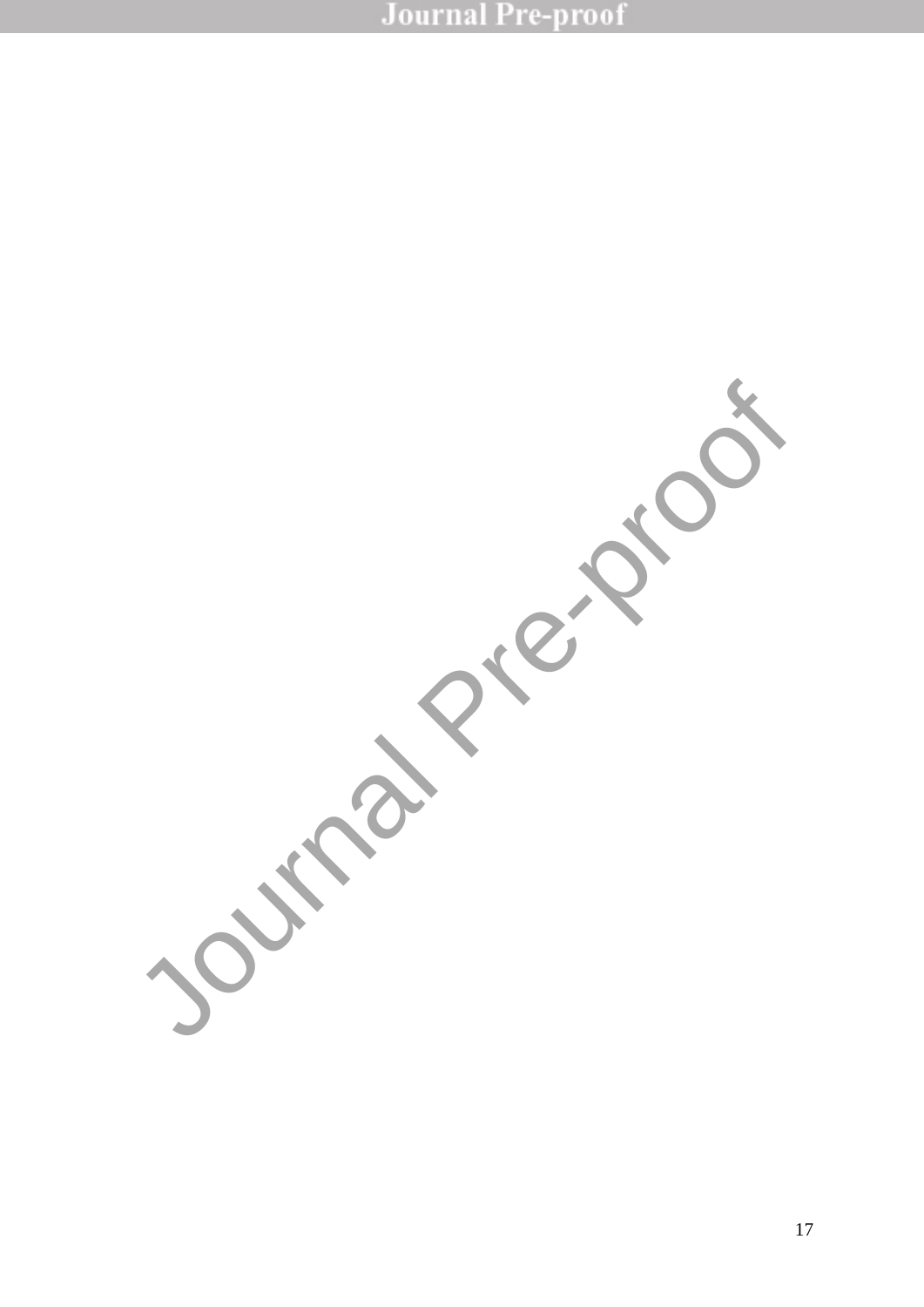2018:1-1. Doiö 10.1109/TPAMI.2018.2798607

- <span id="page-17-1"></span>[9]. Hosseini-Asl E, Keynto R, El-Baz A. Alzheimer's Disease Diagnostics by Adaptation of 3D Convolutional Network[J]. In ICIP, 2016. Doi:10.1109/ICIP.2016.7532332
- [10].Yu Zhang, Han Zhang, Xiaobo Chen, Mingxia Liu, Xiaofeng Zhu, Seong-Whan Lee, Dinggang Shen, Strength and similarity guided group-level brain functional network construction for MCI diagnosis, Pattern Recognition,Volume 88,2019,Pages 421-430,ISSN 0031-3203. Doi: 10.1016/j.patcog.2018.12.001.
- <span id="page-17-4"></span>[11]. % D L O H \  $\prime$  / 3 L F K O HBU et  $\%$ . Combinity FRETH/MRI: Multi-modality Multi-parametric Imaging Is Here. Mol Imaging Biol 17, 595 ¦608 (2015). Doi: 10.1007/s11307-015-0886-9.
- <span id="page-17-10"></span><span id="page-17-9"></span><span id="page-17-8"></span><span id="page-17-7"></span><span id="page-17-6"></span><span id="page-17-5"></span><span id="page-17-3"></span><span id="page-17-2"></span><span id="page-17-0"></span>[12]. Singh, S., Srivastava, A., Mi, L., Caselli, R. J., Chen, K., Goradia, D., Rein, In, E. M., & Wang, Y. (2017). Deep-learning-based classification of FDN-PET data for Alzheimer's disease categories. In 13th International Conference on Medical Information Processing and Analysis (Vol. 10<sup>6</sup>72). [105720J] SPIE. doi:10.1117/12.2294537 Multiplantial interaprials Free. Motifiant Integring Bold 17, 395.606 (1915).<br>
10.1007/s11307-015-0886-9.<br>
12. Singh, S., Shivastava, A., Mi, L., Caselli, R. J., Chen, K., Goradia, T., 2016, N., & Wang, Y. (2017). Deep-le
	- [13].Dyrba, M., Grothe, M., Kirste, T. and Teipel, S.J. 2015, Multimodal analysis of functional and structural disconnection in Alz' eimer's disease using multiple kernel SVM. Hum. Brain Mapp., 36: 211 -2131. doi:10.1002/hbm.22759
	- $[14]$ .  $$$  O  $]$  K H L P H U  $\neg$  V  $$$  V V R F  $\Box$  O W  $\Box$   $\Box$   $\Diamond$  se facts  $$$  figures, Palzheimers G L V H D Dement. 14 (3) (2018) 367 429. Di: 10.1016/j.jalz.2018.02.001
	- [15].Liu, S., Liu, S., Cai, W., Che, '.., Pujol, S., Kikinis, R., et al. (2015). Multimodal QHXURLPDJLAJ IHD WXUH OHDUQLQJ IRU PXOWLFODVV ( IEEE Trans. Biomer. Eng. 62, 1132 1140. Doi: 10.1109/TBME.2014.2372011
	- [16]. Suk H, Lee W, and Shen D, Hierarchical feature representation and multimodal fusion with deep learning for AD/MCI diagnosis. Neuroimage, 2014. Doi: 10.1016 j.neuroimage.2014.06.077
	- [17].Zhan, D, Vang Y, Zhou L, et al. Multimodal classification of Alzheimer\"s disease a. d mill cognitive impairment[J]. Neuroimage, 2011, 55(3):856-867.Doi ö 10.0<sup>/</sup>j.neuroimage.2011.01.008
	- $[9]$ .Zhou, T, Thung, K El, Zhu, X, Shen, D. Effective feature learning and fusion of multimodality data using stage  $\mathcal{L}$ ise deep neural network for dementia diagnosis. Hum Brain Mapp. 2019; 40: 1001¦ 1016. Doi: 10.1002/hbm.24428
	- [19]. & KHQJ 'DQG /LX 0 <sup>-</sup>&nodality ElaBsalifiedaBon PionKenDVL GLDJQRVLV ° LQ WK,QWHUQDWLRQDO &RQJUHVV R BioMedical Engineering and Informatics (CISP-BMEI) (Shanghai), 1 ¦5.
	- [20].Liu, M., Zhang, J., Adeli, E., and Shen, D. (2018). Landmark-based deep multiinstance learning for brain disease diagnosis. Med. Image Anal. 43, 157 ¦168. doi: 10.1016/j.media.2017.10.005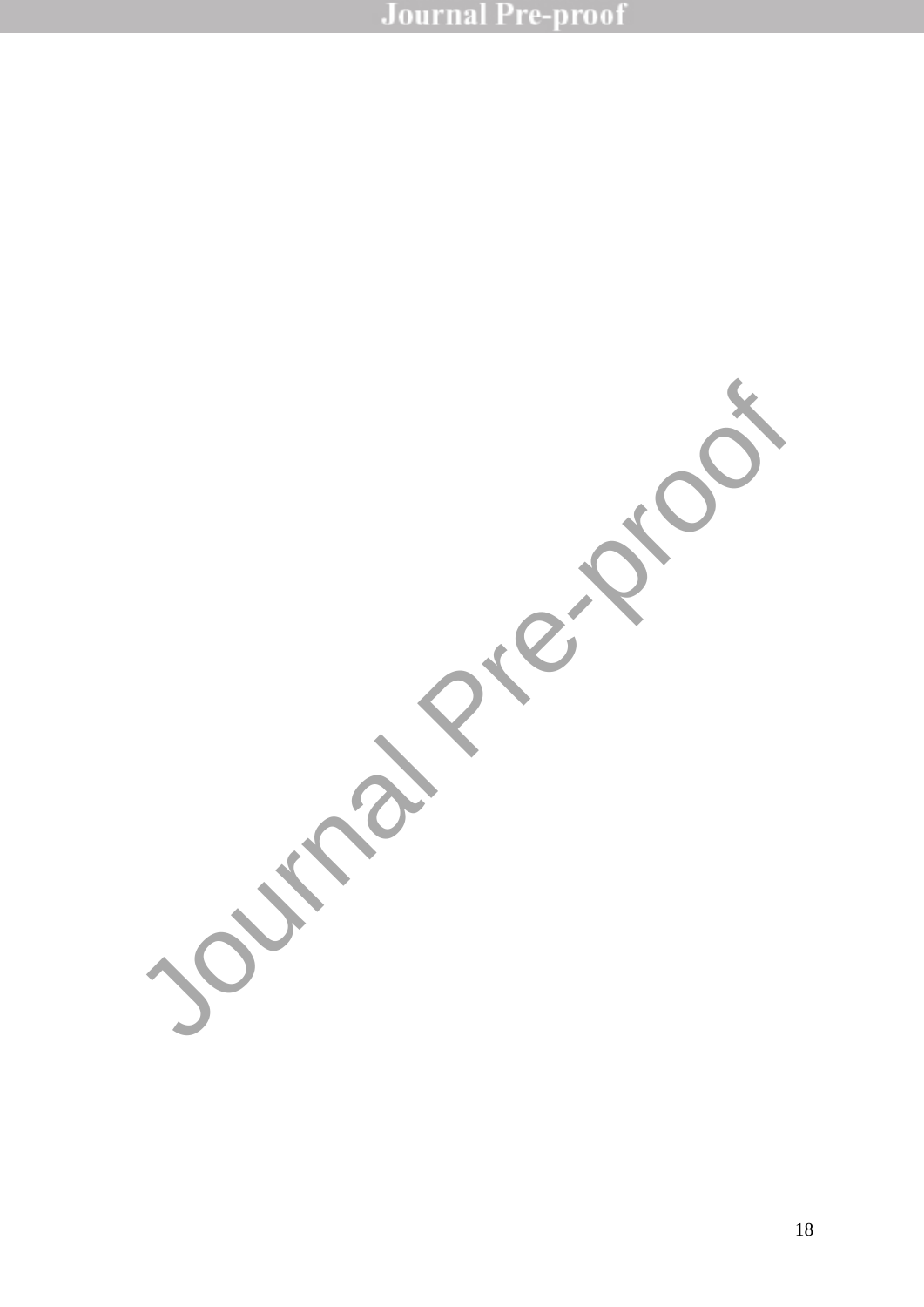- <span id="page-18-7"></span>[21].Lu, D., Popuri, K., Ding, G. W., Balachandar, R., and Beg, M. F. (2018). Multimodal DQG PXOWLVFDOH GHHS QHXUDO QHWZRUNV IRU WKH disease using structuralMR and FDG-PET images. Sci. Rep. 8:5697. doi: 10.1038/s41598-018-22871-z
- <span id="page-18-9"></span>[22].Zhang F, Li Z, Zhang B, Du H, Wang B, Zhang X. (2019) Multi-modal deep learning PRGHO IRU DX[LOLDU\ GLDJQRVLV RI \$O]KHLPHU¬V GLVH 195. doi:10.1016/j.neucom.2019.04.093.
- <span id="page-18-0"></span>[23].McDonald, C. R., Gharapetian, L., McEvoy, L. K., Fennema-Notestine, C., Hagler, D. J. Jr., Holland, D., et al. (2012). Relationship between regional atrophy rates and cognitive decline in mild cognitive impairment. Neurobiol. Aging 33, 242 ¦253. Doi: 10.1016/j.neurobiolaging.2010.03.015
- [24].Simonyan K, Zisserman A. Very Deep Convolutional Networks for Large-Scale Image Recognition[J]. Computer Science, 2014.
- <span id="page-18-3"></span>[25].Jo T, Nho K and Saykin AJ (2019) Deep Learning in Alzheimer's Disease: Diagnostic Classification and Prognostic Prediction Using Neuroimaging Data. Front. Aging Neurosci. 11:220. doi: 10.3389/fnagi.2019.00220
- [26]. Friston, K. J. (2007). Statistical parametric mapping: the analysis of functional brain images. Neurosurgery 61, 216 216. Joi: 0.1016/B978-012372560-8/50002-4
- <span id="page-18-10"></span><span id="page-18-8"></span><span id="page-18-6"></span><span id="page-18-5"></span><span id="page-18-4"></span><span id="page-18-2"></span><span id="page-18-1"></span>[27].Sled, J.G., Zijdenbos, A.P., Evans, A.C., 198. A nonparametric method for automatic correction of intensity lonul formity in MRI data. IEEE Trans. Med. Imaging 17, 87 ¦97. Doi: 10.1 6 J/42.668698
- [28].Shi J, Zheng X, Li Y et al. Multimodal Neuroimaging Feature Learning with Multimodal Stacker Dee, Polynomial Networks for Diagnosis of Alzheimer\"s Disease[J]. IEEE Journ bof Biomedical and Health Informatics, 2017:1-1. Doi: 10.1109/JBH1.2u17.2055720 and cognine to the action of the ARU and Hindren Color Case and Color of the Case and Color of the Case and Digital Pre-provided in the Case and Digital Case and Digital Case and Digital Case and Digital Case and Digital C
	- [29].Lecun, Y., Bengio, Y., and Hinton, G. (2015). Deep learning. Nature 521:436. doi: 10.1.38/nature14539
	- $[30]$ ., ROV VHLQ 0 ) ROVWHLQ 6 ( **DIQGOVILTG** XJU**K** D3W H5°  $$^{\circ}$  SLUDE . HwKRG IRU JUDGLQJ WKH FRJQLWLYH VWDWH RI SDWL Res., vol. 12, no. 3, pp. 189¦198, Nov. 1975.
	- $^{\circ}$ 1]./LX 0 & KHQJ 'DQG < DQ : & ODVVLILFDWLRQ RI \$ Combination of Convolutional and Recurrent Neural Networks Using FDG-PET Images. Front. Neuroinform. 12:35. doi: 10.3389/fninf.2018.00035
	- [32].Beheshti I, 0DLNXVD 1 'DQHVKPDQG 0 HW DO &ODVVLILF Disease and Prediction of Mild Cognitive Impairment Conversion Using Histogram-Based Analysis of Patient-Specific Anatomical Brain Connectivity Networks[J]. Journal of Alzheimers Disease, 2017, 60(1):295-304.
	- [33].DeLong, E., DeLong, D., & Clarke-Pearson, D. (1988). Comparing the Areas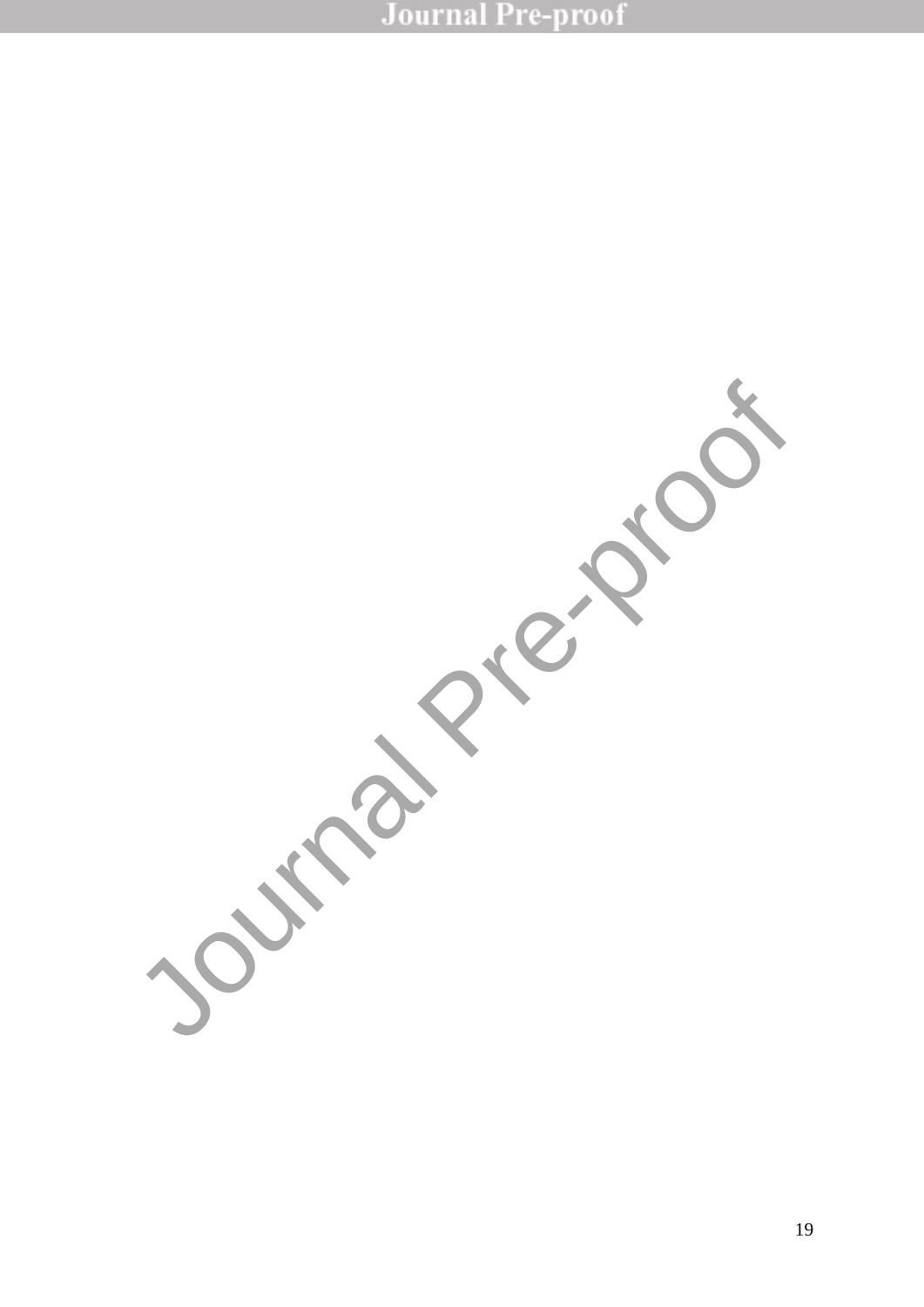under Two or More Correlated Receiver Operating Characteristic Curves: A Nonparametric Approach. Biometrics, 44(3), 837-845. doi:10.2307/2531595

Journal Pre-proof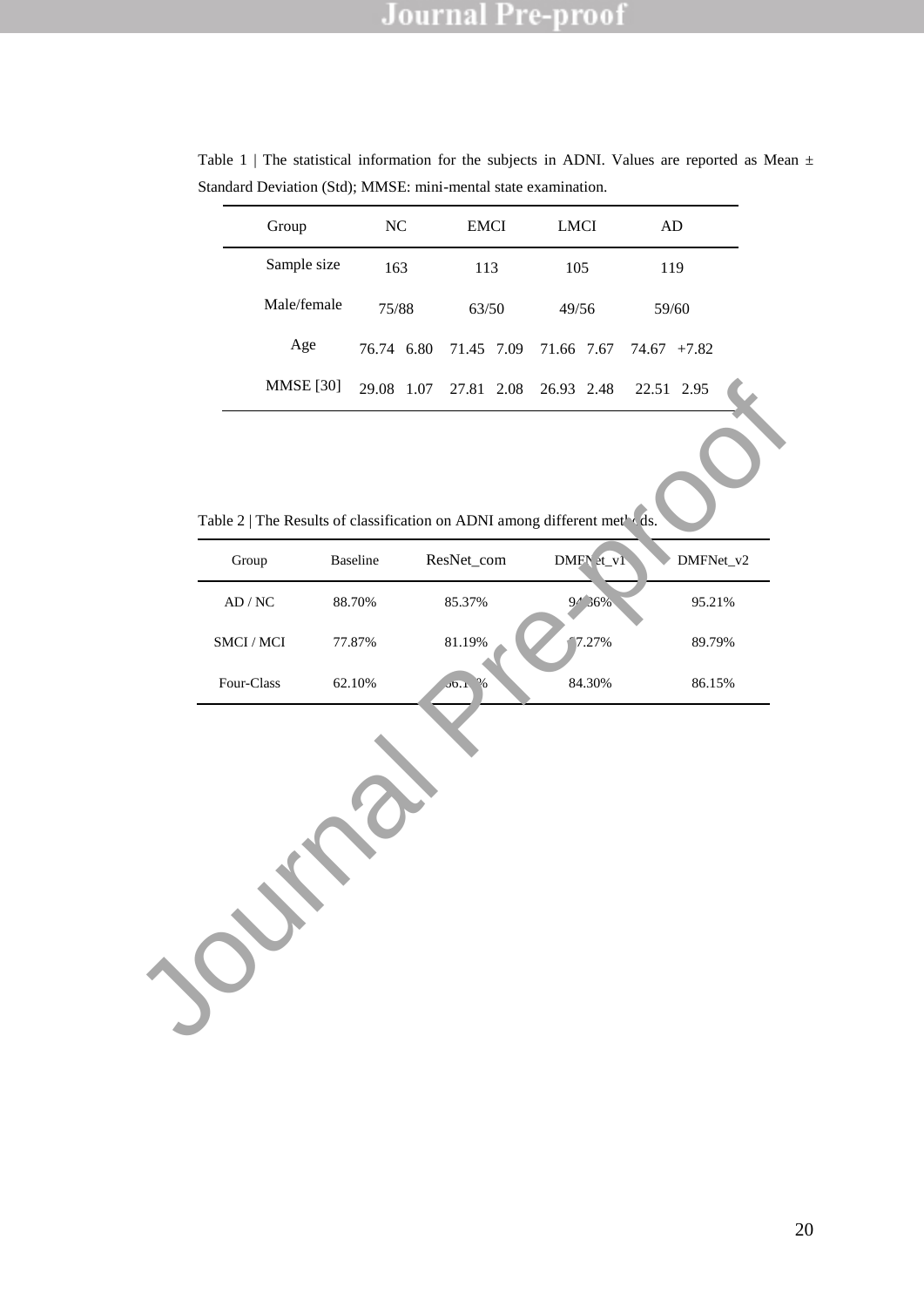| Group            | NC          | <b>EMCI</b> | <b>LMCI</b>                                | AD           |  |
|------------------|-------------|-------------|--------------------------------------------|--------------|--|
| Sample size      | 163         | 113         | 105                                        | 119          |  |
| Male/female      | 75/88       | 63/50       | 49/56                                      | 59/60        |  |
| Age              | 76.74 G6.80 |             | $71.45 \text{ } \text{G}$ , 09 71.66 G, 67 | 74.67 G+7.82 |  |
| <b>MMSE</b> [30] | 29.08 G.07  | 27.81 G2.08 | 26.93 G.48                                 | 22.51 G.95   |  |

Table 1 | The statistical information for the subjects in ADNI. Values are reported as Mean  $\pm$ Standard Deviation (Std); MMSE: mini-mental state examination.

Table 2 | The Results of classification on ADNI among different methods.

| $AD / NC$                        |                  |                  |                   |                  |
|----------------------------------|------------------|------------------|-------------------|------------------|
| $\mathbf{SMCI}$ / $\mathbf{MCI}$ | 88.70%<br>77.87% | 85.37%<br>81.19% | $9'36\%$<br>7.27% | 95.21%<br>89.79% |
| Four-Class                       | 62.10%           | $06.1.$ %        | 84.30%            | 86.15%           |
|                                  |                  |                  |                   |                  |